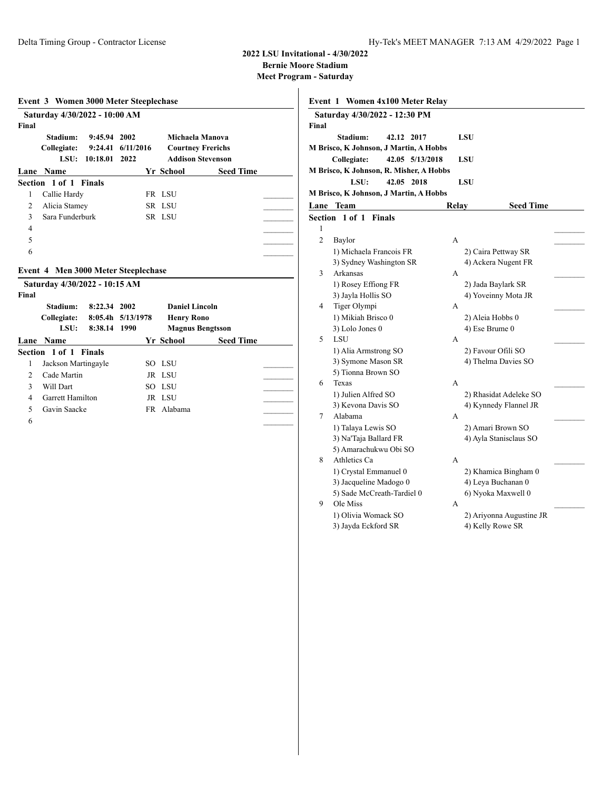**Bernie Moore Stadium**

| Stadium:                | 9:45.94                 | 2002                                                                              |                                                                                                                                    |                                                                                                                                |                                                                                                                                           |
|-------------------------|-------------------------|-----------------------------------------------------------------------------------|------------------------------------------------------------------------------------------------------------------------------------|--------------------------------------------------------------------------------------------------------------------------------|-------------------------------------------------------------------------------------------------------------------------------------------|
| Collegiate:             |                         | 6/11/2016                                                                         |                                                                                                                                    |                                                                                                                                |                                                                                                                                           |
|                         |                         |                                                                                   |                                                                                                                                    |                                                                                                                                |                                                                                                                                           |
| <b>Name</b><br>Lane     |                         |                                                                                   |                                                                                                                                    |                                                                                                                                |                                                                                                                                           |
|                         |                         |                                                                                   |                                                                                                                                    |                                                                                                                                |                                                                                                                                           |
|                         |                         |                                                                                   |                                                                                                                                    |                                                                                                                                |                                                                                                                                           |
|                         |                         |                                                                                   |                                                                                                                                    |                                                                                                                                |                                                                                                                                           |
|                         |                         |                                                                                   |                                                                                                                                    |                                                                                                                                |                                                                                                                                           |
|                         |                         |                                                                                   |                                                                                                                                    |                                                                                                                                |                                                                                                                                           |
|                         |                         |                                                                                   |                                                                                                                                    |                                                                                                                                |                                                                                                                                           |
|                         |                         |                                                                                   |                                                                                                                                    |                                                                                                                                |                                                                                                                                           |
|                         |                         |                                                                                   |                                                                                                                                    |                                                                                                                                |                                                                                                                                           |
|                         |                         |                                                                                   |                                                                                                                                    |                                                                                                                                |                                                                                                                                           |
|                         |                         |                                                                                   |                                                                                                                                    |                                                                                                                                |                                                                                                                                           |
|                         |                         |                                                                                   |                                                                                                                                    |                                                                                                                                |                                                                                                                                           |
| LSU:                    |                         |                                                                                   |                                                                                                                                    |                                                                                                                                |                                                                                                                                           |
|                         |                         |                                                                                   |                                                                                                                                    |                                                                                                                                |                                                                                                                                           |
|                         | 8:38.14                 | 1990                                                                              | <b>Magnus Bengtsson</b>                                                                                                            |                                                                                                                                |                                                                                                                                           |
| Lane Name               |                         |                                                                                   | Yr School                                                                                                                          | <b>Seed Time</b>                                                                                                               |                                                                                                                                           |
| Section 1 of 1 Finals   |                         |                                                                                   |                                                                                                                                    |                                                                                                                                |                                                                                                                                           |
| Jackson Martingayle     |                         |                                                                                   | SO LSU                                                                                                                             |                                                                                                                                |                                                                                                                                           |
| Cade Martin             |                         |                                                                                   | JR LSU                                                                                                                             |                                                                                                                                |                                                                                                                                           |
| Will Dart               |                         |                                                                                   | SO LSU                                                                                                                             |                                                                                                                                |                                                                                                                                           |
| <b>Garrett Hamilton</b> |                         |                                                                                   | JR LSU                                                                                                                             |                                                                                                                                |                                                                                                                                           |
| Gavin Saacke            |                         |                                                                                   | FR Alabama                                                                                                                         |                                                                                                                                |                                                                                                                                           |
|                         | Stadium:<br>Collegiate: | LSU:<br>Section 1 of 1 Finals<br>Callie Hardy<br>Alicia Stamey<br>Sara Funderburk | Saturday 4/30/2022 - 10:00 AM<br>9:24.41<br>2022<br>10:18.01<br>Saturday 4/30/2022 - 10:15 AM<br>8:22.34 2002<br>8:05.4h 5/13/1978 | Event 3 Women 3000 Meter Steeplechase<br><b>Yr School</b><br>FR LSU<br>SR LSU<br>SR LSU<br>Event 4 Men 3000 Meter Steeplechase | Michaela Manova<br><b>Courtney Frerichs</b><br><b>Addison Stevenson</b><br><b>Seed Time</b><br><b>Daniel Lincoln</b><br><b>Henry Rono</b> |

|                | Event 1 Women 4x100 Meter Relay         |       |                          |
|----------------|-----------------------------------------|-------|--------------------------|
|                | Saturday 4/30/2022 - 12:30 PM           |       |                          |
| Final          |                                         |       |                          |
|                | Stadium:<br>42.12 2017                  |       | LSU                      |
|                | M Brisco, K Johnson, J Martin, A Hobbs  |       |                          |
|                | Collegiate:<br>42.05 5/13/2018          |       | LSU                      |
|                | M Brisco, K Johnson, R. Misher, A Hobbs |       |                          |
|                | 42.05<br>LSU:<br>2018                   |       | LSU                      |
|                | M Brisco, K Johnson, J Martin, A Hobbs  |       |                          |
|                | Lane Team                               | Relay | <b>Seed Time</b>         |
|                | Section 1 of 1<br><b>Finals</b>         |       |                          |
| 1              |                                         |       |                          |
| $\overline{c}$ | Baylor                                  | A     |                          |
|                | 1) Michaela Francois FR                 |       | 2) Caira Pettway SR      |
|                | 3) Sydney Washington SR                 |       | 4) Ackera Nugent FR      |
| 3              | Arkansas                                | А     |                          |
|                | 1) Rosey Effiong FR                     |       | 2) Jada Baylark SR       |
|                | 3) Jayla Hollis SO                      |       | 4) Yoveinny Mota JR      |
| $\overline{4}$ | Tiger Olympi                            | А     |                          |
|                | 1) Mikiah Brisco 0                      |       | 2) Aleia Hobbs 0         |
|                | 3) Lolo Jones 0                         |       | 4) Ese Brume 0           |
| 5              | LSU                                     | A     |                          |
|                | 1) Alia Armstrong SO                    |       | 2) Favour Ofili SO       |
|                | 3) Symone Mason SR                      |       | 4) Thelma Davies SO      |
|                | 5) Tionna Brown SO                      |       |                          |
| 6              | Texas                                   | A     |                          |
|                | 1) Julien Alfred SO                     |       | 2) Rhasidat Adeleke SO   |
| 7              | 3) Kevona Davis SO<br>Alabama           |       | 4) Kynnedy Flannel JR    |
|                | 1) Talaya Lewis SO                      | А     | 2) Amari Brown SO        |
|                | 3) Na'Taja Ballard FR                   |       | 4) Ayla Stanisclaus SO   |
|                | 5) Amarachukwu Obi SO                   |       |                          |
| 8              | Athletics Ca                            | A     |                          |
|                | 1) Crystal Emmanuel 0                   |       | 2) Khamica Bingham 0     |
|                | 3) Jacqueline Madogo 0                  |       | 4) Leya Buchanan 0       |
|                | 5) Sade McCreath-Tardiel 0              |       | 6) Nyoka Maxwell 0       |
| 9              | Ole Miss                                | A     |                          |
|                | 1) Olivia Womack SO                     |       | 2) Ariyonna Augustine JR |
|                | 3) Jayda Eckford SR                     |       | 4) Kelly Rowe SR         |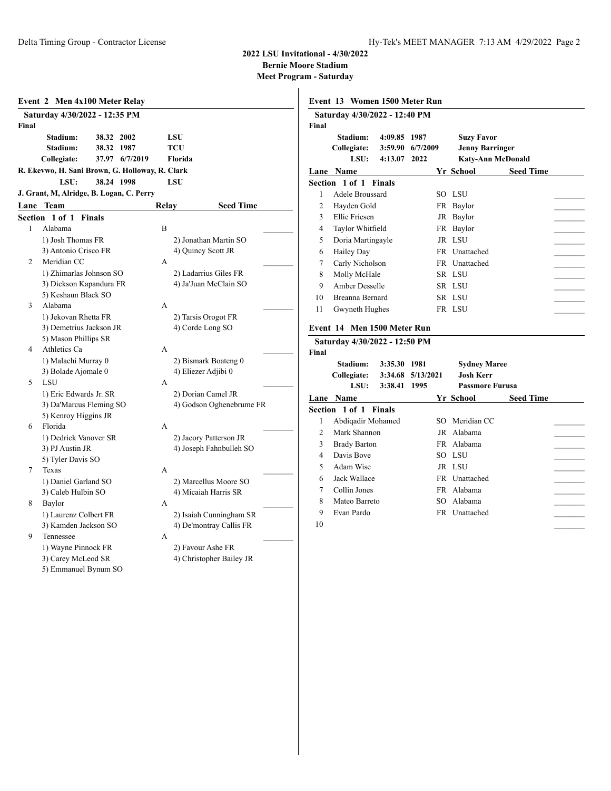**Bernie Moore Stadium**

|                | Event 2 Men 4x100 Meter Relay                   |               |                |       |                         |                          |  |
|----------------|-------------------------------------------------|---------------|----------------|-------|-------------------------|--------------------------|--|
| Final          | Saturday 4/30/2022 - 12:35 PM                   |               |                |       |                         |                          |  |
|                | Stadium:                                        | 38.32 2002    |                |       | LSU                     |                          |  |
|                | Stadium:                                        | 38.32 1987    |                |       | TCU                     |                          |  |
|                | Collegiate:                                     |               | 37.97 6/7/2019 |       | Florida                 |                          |  |
|                | R. Ekevwo, H. Sani Brown, G. Holloway, R. Clark |               |                |       |                         |                          |  |
|                | LSU:                                            | 38.24 1998    |                |       | LSU                     |                          |  |
|                | J. Grant, M, Alridge, B. Logan, C. Perry        |               |                |       |                         |                          |  |
|                | Lane Team                                       |               |                | Relay |                         | <b>Seed Time</b>         |  |
| Section        | 1 of 1                                          | <b>Finals</b> |                |       |                         |                          |  |
| 1              | Alabama                                         |               |                | B     |                         |                          |  |
|                | 1) Josh Thomas FR                               |               |                |       | 2) Jonathan Martin SO   |                          |  |
|                | 3) Antonio Crisco FR                            |               |                |       | 4) Quincy Scott JR      |                          |  |
| 2              | Meridian CC                                     |               |                | A     |                         |                          |  |
|                | 1) Zhimarlas Johnson SO                         |               |                |       | 2) Ladarrius Giles FR   |                          |  |
|                | 3) Dickson Kapandura FR                         |               |                |       | 4) Ja'Juan McClain SO   |                          |  |
|                | 5) Keshaun Black SO                             |               |                |       |                         |                          |  |
| 3              | Alabama                                         |               |                | A     |                         |                          |  |
|                | 1) Jekovan Rhetta FR                            |               |                |       | 2) Tarsis Orogot FR     |                          |  |
|                | 3) Demetrius Jackson JR                         |               |                |       | 4) Corde Long SO        |                          |  |
| $\overline{4}$ | 5) Mason Phillips SR                            |               |                |       |                         |                          |  |
|                | Athletics Ca                                    |               |                | A     |                         |                          |  |
|                | 1) Malachi Murray 0                             |               |                |       | 2) Bismark Boateng 0    |                          |  |
| 5              | 3) Bolade Ajomale 0<br>LSU                      |               |                | A     | 4) Eliezer Adjibi 0     |                          |  |
|                | 1) Eric Edwards Jr. SR                          |               |                |       | 2) Dorian Camel JR      |                          |  |
|                | 3) Da'Marcus Fleming SO                         |               |                |       |                         | 4) Godson Oghenebrume FR |  |
|                | 5) Kenroy Higgins JR                            |               |                |       |                         |                          |  |
| 6              | Florida                                         |               |                | A     |                         |                          |  |
|                | 1) Dedrick Vanover SR                           |               |                |       | 2) Jacory Patterson JR  |                          |  |
|                | 3) PJ Austin JR                                 |               |                |       |                         | 4) Joseph Fahnbulleh SO  |  |
|                | 5) Tyler Davis SO                               |               |                |       |                         |                          |  |
| 7              | Texas                                           |               |                | A     |                         |                          |  |
|                | 1) Daniel Garland SO                            |               |                |       | 2) Marcellus Moore SO   |                          |  |
|                | 3) Caleb Hulbin SO                              |               |                |       | 4) Micaiah Harris SR    |                          |  |
| 8              | Baylor                                          |               |                | А     |                         |                          |  |
|                | 1) Laurenz Colbert FR                           |               |                |       |                         | 2) Isaiah Cunningham SR  |  |
|                | 3) Kamden Jackson SO                            |               |                |       | 4) De'montray Callis FR |                          |  |
| 9              | Tennessee                                       |               |                | А     |                         |                          |  |
|                | 1) Wayne Pinnock FR                             |               |                |       | 2) Favour Ashe FR       |                          |  |
|                | 3) Carey McLeod SR                              |               |                |       |                         | 4) Christopher Bailey JR |  |
|                | 5) Emmanuel Bynum SO                            |               |                |       |                         |                          |  |

|                | Event 13 Women 1500 Meter Run                                |         |           |                        |                          |  |
|----------------|--------------------------------------------------------------|---------|-----------|------------------------|--------------------------|--|
|                | Saturday 4/30/2022 - 12:40 PM                                |         |           |                        |                          |  |
| Final          |                                                              |         |           |                        |                          |  |
|                | Stadium:                                                     | 4:09.85 | 1987      | <b>Suzy Favor</b>      |                          |  |
|                | Collegiate:                                                  | 3:59.90 | 6/7/2009  | <b>Jenny Barringer</b> |                          |  |
|                | LSU:                                                         | 4:13.07 | 2022      |                        | <b>Katy-Ann McDonald</b> |  |
|                | Lane Name                                                    |         |           | Yr School              | <b>Seed Time</b>         |  |
|                | Section 1 of 1 Finals                                        |         |           |                        |                          |  |
| 1              | Adele Broussard                                              |         |           | SO LSU                 |                          |  |
| 2              | Hayden Gold                                                  |         |           | FR Baylor              |                          |  |
| 3              | Ellie Friesen                                                |         |           | JR Baylor              |                          |  |
| 4              | Taylor Whitfield                                             |         |           | FR Baylor              |                          |  |
| 5              | Doria Martingayle                                            |         |           | JR LSU                 |                          |  |
| 6              | Hailey Day                                                   |         |           | FR Unattached          |                          |  |
| 7              | Carly Nicholson                                              |         |           | FR Unattached          |                          |  |
| 8              | Molly McHale                                                 |         |           | SR LSU                 |                          |  |
| 9              | Amber Desselle                                               |         |           | SR LSU                 |                          |  |
| 10             | <b>Breanna Bernard</b>                                       |         |           | SR LSU                 |                          |  |
| 11             | Gwyneth Hughes                                               |         |           | FR LSU                 |                          |  |
| Final          | Event 14 Men 1500 Meter Run<br>Saturday 4/30/2022 - 12:50 PM |         |           |                        |                          |  |
|                | Stadium:                                                     | 3:35.30 | 1981      | <b>Sydney Maree</b>    |                          |  |
|                | Collegiate:                                                  | 3:34.68 | 5/13/2021 | <b>Josh Kerr</b>       |                          |  |
|                | LSU:                                                         | 3:38.41 | 1995      | <b>Passmore Furusa</b> |                          |  |
|                | Lane Name                                                    |         |           | Yr School              | <b>Seed Time</b>         |  |
|                | Section 1 of 1 Finals                                        |         |           |                        |                          |  |
| 1              | Abdiqadir Mohamed                                            |         |           | SO Meridian CC         |                          |  |
| $\overline{c}$ | Mark Shannon                                                 |         |           | JR Alabama             |                          |  |
| 3              | <b>Brady Barton</b>                                          |         |           | FR Alabama             |                          |  |
| 4              | Davis Boye                                                   |         |           | SO LSU                 |                          |  |
| 5              | Adam Wise                                                    |         |           | JR LSU                 |                          |  |
| 6              | Jack Wallace                                                 |         |           | FR Unattached          |                          |  |
| 7              | Collin Jones                                                 |         |           | FR Alabama             |                          |  |
| 8              | Mateo Barreto                                                |         |           | SO Alabama             |                          |  |
| 9              | Evan Pardo                                                   |         |           | FR Unattached          |                          |  |
| 10             |                                                              |         |           |                        |                          |  |
|                |                                                              |         |           |                        |                          |  |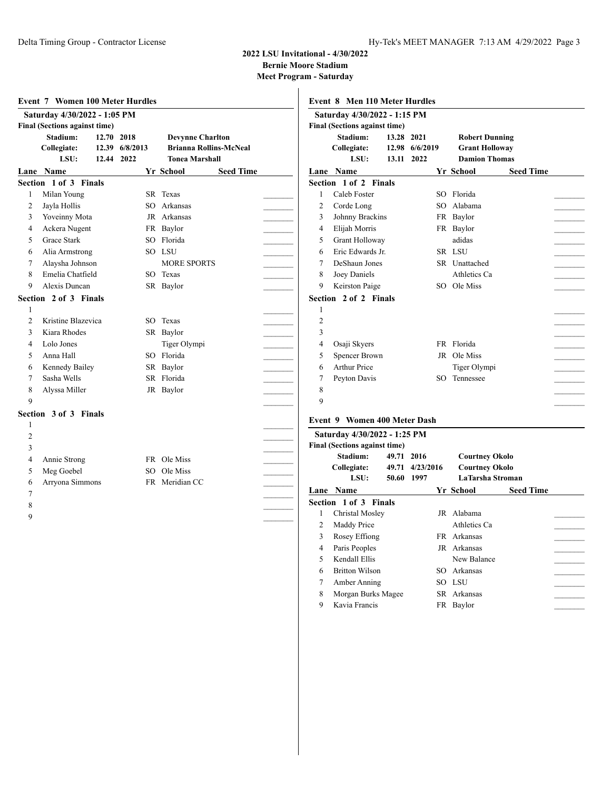### **2022 LSU Invitational - 4/30/2022 Bernie Moore Stadium**

|                | Saturday 4/30/2022 - 1:05 PM         |            |                |                               |                  |                | Saturday 4/30/2022 - 1:15 PM         |            |                 |                       |                         |  |
|----------------|--------------------------------------|------------|----------------|-------------------------------|------------------|----------------|--------------------------------------|------------|-----------------|-----------------------|-------------------------|--|
|                | <b>Final (Sections against time)</b> |            |                |                               |                  |                | <b>Final (Sections against time)</b> |            |                 |                       |                         |  |
|                | Stadium:                             | 12.70 2018 |                | <b>Devynne Charlton</b>       |                  |                | Stadium:                             | 13.28 2021 |                 | <b>Robert Dunning</b> |                         |  |
|                | Collegiate:                          |            | 12.39 6/8/2013 | <b>Brianna Rollins-McNeal</b> |                  |                | Collegiate:                          |            | 12.98 6/6/2019  | <b>Grant Holloway</b> |                         |  |
|                | LSU:                                 | 12.44 2022 |                | <b>Tonea Marshall</b>         |                  |                | LSU:                                 |            | 13.11 2022      | <b>Damion Thomas</b>  |                         |  |
|                | Lane Name                            |            |                | <b>Yr School</b>              | <b>Seed Time</b> |                | Lane Name                            |            |                 | Yr School             | <b>Seed Time</b>        |  |
|                | Section 1 of 3 Finals                |            |                |                               |                  |                | Section 1 of 2 Finals                |            |                 |                       |                         |  |
| 1              | Milan Young                          |            |                | SR Texas                      |                  |                | Caleb Foster                         |            |                 | SO Florida            |                         |  |
| 2              | Jayla Hollis                         |            |                | SO Arkansas                   |                  | $\overline{c}$ | Corde Long                           |            | SO              | Alabama               |                         |  |
| 3              | Yoveinny Mota                        |            |                | JR Arkansas                   |                  | 3              | Johnny Brackins                      |            |                 | FR Baylor             |                         |  |
| 4              | Ackera Nugent                        |            |                | FR Baylor                     |                  | 4              | Elijah Morris                        |            |                 | FR Baylor             |                         |  |
| 5              | Grace Stark                          |            |                | SO Florida                    |                  | 5              | Grant Holloway                       |            |                 | adidas                |                         |  |
| 6              | Alia Armstrong                       |            |                | SO LSU                        |                  | 6              | Eric Edwards Jr.                     |            |                 | SR LSU                |                         |  |
| 7              | Alaysha Johnson                      |            |                | <b>MORE SPORTS</b>            |                  | 7              | DeShaun Jones                        |            |                 | SR Unattached         |                         |  |
| 8              | Emelia Chatfield                     |            |                | SO Texas                      |                  | 8              | Joey Daniels                         |            |                 | Athletics Ca          |                         |  |
| 9              | Alexis Duncan                        |            |                | SR Baylor                     |                  | 9              | Keirston Paige                       |            |                 | SO Ole Miss           |                         |  |
|                | Section 2 of 3 Finals                |            |                |                               |                  |                | Section 2 of 2 Finals                |            |                 |                       |                         |  |
| 1              |                                      |            |                |                               |                  | 1              |                                      |            |                 |                       |                         |  |
| 2              | Kristine Blazevica                   |            |                | SO Texas                      |                  | $\overline{c}$ |                                      |            |                 |                       |                         |  |
| 3              | Kiara Rhodes                         |            |                | SR Baylor                     |                  | 3              |                                      |            |                 |                       |                         |  |
| 4              | Lolo Jones                           |            |                | Tiger Olympi                  |                  | 4              | Osaji Skyers                         |            |                 | FR Florida            |                         |  |
| 5              | Anna Hall                            |            |                | SO Florida                    |                  | 5              | <b>Spencer Brown</b>                 |            |                 | JR Ole Miss           |                         |  |
| 6              | Kennedy Bailey                       |            |                | SR Baylor                     |                  | 6              | <b>Arthur Price</b>                  |            |                 | Tiger Olympi          |                         |  |
| 7              | Sasha Wells                          |            |                | SR Florida                    |                  | 7              | Peyton Davis                         |            |                 | SO Tennessee          |                         |  |
| 8              | Alyssa Miller                        |            |                | JR Baylor                     |                  | 8              |                                      |            |                 |                       |                         |  |
| 9              |                                      |            |                |                               |                  | 9              |                                      |            |                 |                       |                         |  |
|                | Section 3 of 3 Finals                |            |                |                               |                  |                |                                      |            |                 |                       |                         |  |
| 1              |                                      |            |                |                               |                  |                | <b>Event 9 Women 400 Meter Dash</b>  |            |                 |                       |                         |  |
| $\overline{2}$ |                                      |            |                |                               |                  |                | Saturday 4/30/2022 - 1:25 PM         |            |                 |                       |                         |  |
| 3              |                                      |            |                |                               |                  |                | Final (Sections against time)        |            |                 |                       |                         |  |
| 4              | Annie Strong                         |            |                | FR Ole Miss                   |                  |                | Stadium:                             |            | 49.71 2016      | <b>Courtney Okolo</b> |                         |  |
| 5              | Meg Goebel                           |            |                | SO Ole Miss                   |                  |                | Collegiate:                          |            | 49.71 4/23/2016 | <b>Courtney Okolo</b> |                         |  |
| 6              | Arryona Simmons                      |            |                | FR Meridian CC                |                  |                | LSU:                                 |            | 50.60 1997      |                       | <b>LaTarsha Stroman</b> |  |
| 7              |                                      |            |                |                               |                  |                | Lane Name                            |            |                 | Yr School             | <b>Seed Time</b>        |  |
| 8              |                                      |            |                |                               |                  |                | Section 1 of 3 Finals                |            |                 |                       |                         |  |
| 9              |                                      |            |                |                               |                  |                | Christal Mosley                      |            |                 | JR Alabama            |                         |  |
|                |                                      |            |                |                               |                  | 2              | Maddy Price                          |            |                 | Athletics Ca          |                         |  |
|                |                                      |            |                |                               |                  | 3              | Rosey Effiong                        |            |                 | FR Arkansas           |                         |  |
|                |                                      |            |                |                               |                  | 4              | Paris Peoples                        |            |                 | JR Arkansas           |                         |  |
|                |                                      |            |                |                               |                  | 5              | Kendall Ellis                        |            |                 | New Balance           |                         |  |
|                |                                      |            |                |                               |                  | 6              | <b>Britton Wilson</b>                |            |                 | SO Arkansas           |                         |  |
|                |                                      |            |                |                               |                  |                | Amber Anning                         |            |                 | SO LSU                |                         |  |
|                |                                      |            |                |                               |                  |                | Morgan Burks Magee                   |            |                 | SR Arkansas           |                         |  |
|                |                                      |            |                |                               |                  | 9              | Kavia Francis                        |            |                 | FR Baylor             |                         |  |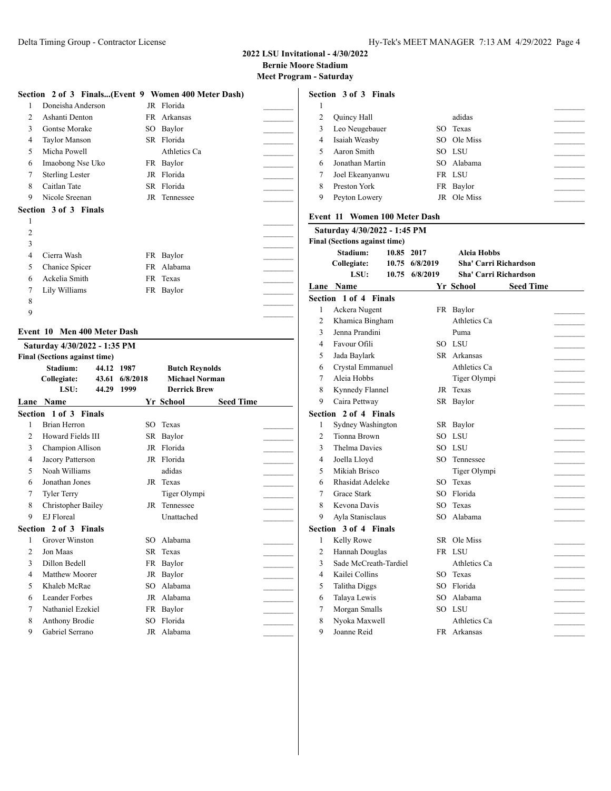# **2022 LSU Invitational - 4/30/2022 Bernie Moore Stadium**

**Meet Program - Saturday**

|              | Section 2 of 3 Finals(Event 9 Women 400 Meter Dash)         |     |              |  |
|--------------|-------------------------------------------------------------|-----|--------------|--|
| 1            | Doneisha Anderson                                           |     | JR Florida   |  |
| 2            | Ashanti Denton                                              | FR. | Arkansas     |  |
| $\mathbf{3}$ | Gontse Morake                                               | SO  | Baylor       |  |
| 4            | Taylor Manson                                               |     | SR Florida   |  |
| 5            | Micha Powell                                                |     | Athletics Ca |  |
| 6            | Imaobong Nse Uko                                            |     | FR Baylor    |  |
| 7            | <b>Sterling Lester</b>                                      | JR  | Florida      |  |
| 8            | Caitlan Tate                                                | SR. | Florida      |  |
| 9            | Nicole Sreenan                                              |     | JR Tennessee |  |
|              | Section 3 of 3 Finals                                       |     |              |  |
| 1            |                                                             |     |              |  |
| 2            |                                                             |     |              |  |
| 3            |                                                             |     |              |  |
| 4            | Cierra Wash                                                 |     | FR Baylor    |  |
| 5            | Chanice Spicer                                              | FR  | Alabama      |  |
| 6            | Ackelia Smith                                               |     | FR Texas     |  |
| 7            | Lily Williams                                               |     | FR Baylor    |  |
| 8            |                                                             |     |              |  |
| 9            |                                                             |     |              |  |
|              | Event 10 Men 400 Meter Dash<br>Saturday 4/30/2022 - 1:35 PM |     |              |  |
|              | Final (Soctions against time)                               |     |              |  |

| Stadium:           |       |                                                                                                                                                                                                                                                                                                                                                                      |                     |                                                                                                                                         |                                                                       |
|--------------------|-------|----------------------------------------------------------------------------------------------------------------------------------------------------------------------------------------------------------------------------------------------------------------------------------------------------------------------------------------------------------------------|---------------------|-----------------------------------------------------------------------------------------------------------------------------------------|-----------------------------------------------------------------------|
| Collegiate:        |       | 6/8/2018                                                                                                                                                                                                                                                                                                                                                             |                     |                                                                                                                                         |                                                                       |
| LSU:               | 44.29 | 1999                                                                                                                                                                                                                                                                                                                                                                 |                     |                                                                                                                                         |                                                                       |
| <b>Lane Name</b>   |       |                                                                                                                                                                                                                                                                                                                                                                      |                     | <b>Seed Time</b>                                                                                                                        |                                                                       |
|                    |       |                                                                                                                                                                                                                                                                                                                                                                      |                     |                                                                                                                                         |                                                                       |
| Brian Herron       |       | SO.                                                                                                                                                                                                                                                                                                                                                                  | Texas               |                                                                                                                                         |                                                                       |
|                    |       |                                                                                                                                                                                                                                                                                                                                                                      |                     |                                                                                                                                         |                                                                       |
|                    |       |                                                                                                                                                                                                                                                                                                                                                                      |                     |                                                                                                                                         |                                                                       |
|                    |       |                                                                                                                                                                                                                                                                                                                                                                      |                     |                                                                                                                                         |                                                                       |
|                    |       |                                                                                                                                                                                                                                                                                                                                                                      | adidas              |                                                                                                                                         |                                                                       |
|                    |       |                                                                                                                                                                                                                                                                                                                                                                      |                     |                                                                                                                                         |                                                                       |
| <b>Tyler Terry</b> |       |                                                                                                                                                                                                                                                                                                                                                                      | Tiger Olympi        |                                                                                                                                         |                                                                       |
|                    |       |                                                                                                                                                                                                                                                                                                                                                                      | Tennessee           |                                                                                                                                         |                                                                       |
| EJ Floreal         |       |                                                                                                                                                                                                                                                                                                                                                                      | Unattached          |                                                                                                                                         |                                                                       |
|                    |       |                                                                                                                                                                                                                                                                                                                                                                      |                     |                                                                                                                                         |                                                                       |
|                    |       | SO <sub>2</sub>                                                                                                                                                                                                                                                                                                                                                      | Alabama             |                                                                                                                                         |                                                                       |
| Jon Maas           |       |                                                                                                                                                                                                                                                                                                                                                                      | Texas               |                                                                                                                                         |                                                                       |
|                    |       |                                                                                                                                                                                                                                                                                                                                                                      |                     |                                                                                                                                         |                                                                       |
|                    |       |                                                                                                                                                                                                                                                                                                                                                                      | Baylor              |                                                                                                                                         |                                                                       |
|                    |       | SO.                                                                                                                                                                                                                                                                                                                                                                  | Alabama             |                                                                                                                                         |                                                                       |
|                    |       |                                                                                                                                                                                                                                                                                                                                                                      |                     |                                                                                                                                         |                                                                       |
|                    |       |                                                                                                                                                                                                                                                                                                                                                                      |                     |                                                                                                                                         |                                                                       |
|                    |       | SO.                                                                                                                                                                                                                                                                                                                                                                  | Florida             |                                                                                                                                         |                                                                       |
|                    |       |                                                                                                                                                                                                                                                                                                                                                                      |                     |                                                                                                                                         |                                                                       |
|                    |       | <b>Final (Sections against time)</b><br>Section 1 of 3 Finals<br>Howard Fields III<br>Champion Allison<br>Jacory Patterson<br>Noah Williams<br>Jonathan Jones<br>Christopher Bailey<br>Section 2 of 3 Finals<br>Grover Winston<br>Dillon Bedell<br>Matthew Moorer<br>Khaleb McRae<br>Leander Forbes<br>Nathaniel Ezekiel<br><b>Anthony Brodie</b><br>Gabriel Serrano | 44.12 1987<br>43.61 | Yr School<br>SR Baylor<br>JR Florida<br>JR Florida<br>JR Texas<br>JR<br>SR.<br>FR Baylor<br>JR<br>JR Alabama<br>FR Baylor<br>JR Alabama | <b>Butch Reynolds</b><br><b>Michael Norman</b><br><b>Derrick Brew</b> |

|   | Section 3 of 3 Finals |             |  |
|---|-----------------------|-------------|--|
|   |                       |             |  |
| 2 | Quincy Hall           | adidas      |  |
| 3 | Leo Neugebauer        | SO Texas    |  |
| 4 | Isaiah Weasby         | SO Ole Miss |  |
| 5 | Aaron Smith           | SO LSU      |  |
| 6 | Jonathan Martin       | SO Alabama  |  |
| 7 | Joel Ekeanyanwu       | FR LSU      |  |
| 8 | Preston York          | FR Baylor   |  |
| 9 | Peyton Lowery         | JR Ole Miss |  |
|   |                       |             |  |

### **Event 11 Women 100 Meter Dash**

|                | Saturday 4/30/2022 - 1:45 PM         |                |                              |                  |  |
|----------------|--------------------------------------|----------------|------------------------------|------------------|--|
|                | <b>Final (Sections against time)</b> |                |                              |                  |  |
|                | Stadium:<br>10.85 2017               |                | Aleia Hobbs                  |                  |  |
|                | Collegiate:                          | 10.75 6/8/2019 | <b>Sha' Carri Richardson</b> |                  |  |
|                | LSU:                                 | 10.75 6/8/2019 | <b>Sha' Carri Richardson</b> |                  |  |
|                | <b>Lane Name</b>                     |                | Yr School                    | <b>Seed Time</b> |  |
|                | <b>Section 1 of 4 Finals</b>         |                |                              |                  |  |
| 1              | Ackera Nugent                        |                | FR Baylor                    |                  |  |
| 2              | Khamica Bingham                      |                | Athletics Ca                 |                  |  |
| 3              | Jenna Prandini                       |                | Puma                         |                  |  |
| 4              | Favour Ofili                         |                | SO LSU                       |                  |  |
| 5              | Jada Baylark                         |                | SR Arkansas                  |                  |  |
| 6              | Crystal Emmanuel                     |                | Athletics Ca                 |                  |  |
| 7              | Aleia Hobbs                          |                | Tiger Olympi                 |                  |  |
| 8              | Kynnedy Flannel                      |                | JR Texas                     |                  |  |
| 9              | Caira Pettway                        |                | SR Baylor                    |                  |  |
|                | Section 2 of 4 Finals                |                |                              |                  |  |
| 1              | Sydney Washington                    |                | SR Baylor                    |                  |  |
| 2              | Tionna Brown                         |                | SO LSU                       |                  |  |
| 3              | <b>Thelma Davies</b>                 |                | SO LSU                       |                  |  |
| 4              | Joella Lloyd                         | SO.            | Tennessee                    |                  |  |
| 5              | Mikiah Brisco                        |                | Tiger Olympi                 |                  |  |
| 6              | Rhasidat Adeleke                     |                | SO Texas                     |                  |  |
| 7              | <b>Grace Stark</b>                   |                | SO Florida                   |                  |  |
| 8              | Kevona Davis                         |                | SO Texas                     |                  |  |
| 9              | Ayla Stanisclaus                     | SO.            | Alabama                      |                  |  |
|                | Section 3 of 4 Finals                |                |                              |                  |  |
| 1              | Kelly Rowe                           |                | SR Ole Miss                  |                  |  |
| $\overline{c}$ | Hannah Douglas                       |                | FR LSU                       |                  |  |
| 3              | Sade McCreath-Tardiel                |                | Athletics Ca                 |                  |  |
| 4              | Kailei Collins                       |                | SO Texas                     |                  |  |
| 5              | Talitha Diggs                        | SO             | Florida                      |                  |  |
| 6              | Talaya Lewis                         |                | SO Alabama                   |                  |  |
| 7              | Morgan Smalls                        |                | SO LSU                       |                  |  |
| 8              | Nyoka Maxwell                        |                | Athletics Ca                 |                  |  |
| 9              | Joanne Reid                          |                | FR Arkansas                  |                  |  |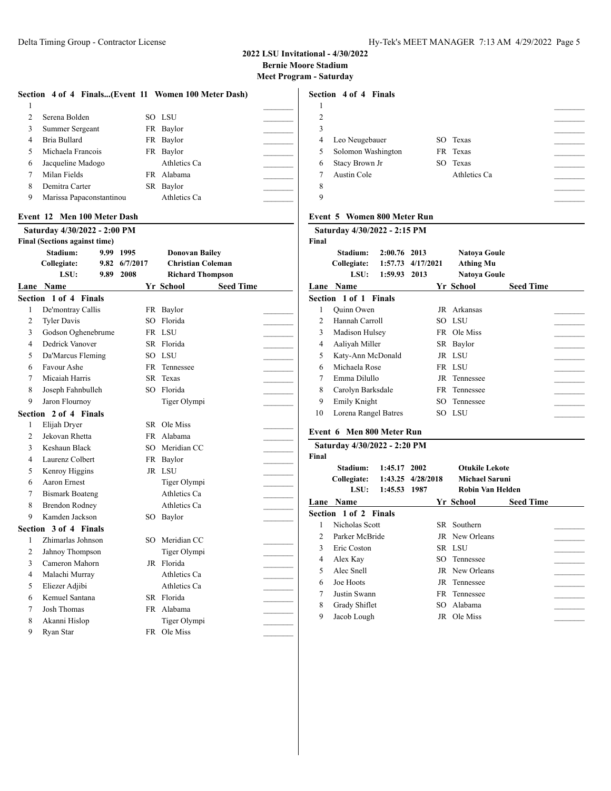## **2022 LSU Invitational - 4/30/2022 Bernie Moore Stadium Meet Program - Saturday**

|   | Section 4 of 4 Finals(Event 11 Women 100 Meter Dash) |              |  |
|---|------------------------------------------------------|--------------|--|
|   |                                                      |              |  |
| 2 | Serena Bolden                                        | SO LSU       |  |
| 3 | Summer Sergeant                                      | FR Baylor    |  |
| 4 | Bria Bullard                                         | FR Baylor    |  |
| 5 | Michaela Francois                                    | FR Baylor    |  |
| 6 | Jacqueline Madogo                                    | Athletics Ca |  |
|   | Milan Fields                                         | FR Alabama   |  |
| 8 | Demitra Carter                                       | SR Baylor    |  |
| 9 | Marissa Papaconstantinou                             | Athletics Ca |  |

# **Event 12 Men 100 Meter Dash**

|                | Saturday 4/30/2022 - 2:00 PM         |      |          |    |                          |                  | Satı           |
|----------------|--------------------------------------|------|----------|----|--------------------------|------------------|----------------|
|                | <b>Final (Sections against time)</b> |      |          |    |                          |                  | Final          |
|                | Stadium:                             | 9.99 | 1995     |    | <b>Donovan Bailey</b>    |                  |                |
|                | Collegiate:                          | 9.82 | 6/7/2017 |    | <b>Christian Coleman</b> |                  |                |
|                | LSU:                                 | 9.89 | 2008     |    | <b>Richard Thompson</b>  |                  |                |
|                | Lane Name                            |      |          |    | Yr School                | <b>Seed Time</b> | Lane           |
|                | Section 1 of 4 Finals                |      |          |    |                          |                  | Sectio         |
| 1              | De'montray Callis                    |      |          |    | FR Baylor                |                  | 1              |
| $\overline{2}$ | <b>Tyler Davis</b>                   |      |          | SO | Florida                  |                  | 2              |
| 3              | Godson Oghenebrume                   |      |          |    | FR LSU                   |                  | 3              |
| 4              | Dedrick Vanover                      |      |          |    | SR Florida               |                  | 4              |
| 5              | Da'Marcus Fleming                    |      |          |    | SO LSU                   |                  | 5              |
| 6              | Favour Ashe                          |      |          |    | FR Tennessee             |                  | 6              |
| $\tau$         | Micaiah Harris                       |      |          | SR | Texas                    |                  | 7              |
| 8              | Joseph Fahnbulleh                    |      |          |    | SO Florida               |                  | 8              |
| 9              | Jaron Flournoy                       |      |          |    | Tiger Olympi             |                  | 9              |
|                | Section 2 of 4 Finals                |      |          |    |                          |                  | 10             |
| 1              | Elijah Dryer                         |      |          |    | SR Ole Miss              |                  |                |
| $\overline{2}$ | Jekovan Rhetta                       |      |          |    | FR Alabama               |                  | Event          |
| 3              | Keshaun Black                        |      |          |    | SO Meridian CC           |                  | Satı           |
| 4              | Laurenz Colbert                      |      |          |    | FR Baylor                |                  | Final          |
| 5              | Kenroy Higgins                       |      |          |    | JR LSU                   |                  |                |
| 6              | Aaron Ernest                         |      |          |    | Tiger Olympi             |                  |                |
| 7              | <b>Bismark Boateng</b>               |      |          |    | Athletics Ca             |                  |                |
| 8              | <b>Brendon Rodney</b>                |      |          |    | Athletics Ca             |                  | Lane           |
| 9              | Kamden Jackson                       |      |          |    | SO Baylor                |                  | Sectio         |
|                | Section 3 of 4 Finals                |      |          |    |                          |                  | 1              |
| 1              | Zhimarlas Johnson                    |      |          |    | SO Meridian CC           |                  | $\overline{c}$ |
| $\overline{c}$ | Jahnoy Thompson                      |      |          |    | Tiger Olympi             |                  | 3              |
| 3              | Cameron Mahorn                       |      |          |    | JR Florida               |                  | 4              |
| 4              | Malachi Murray                       |      |          |    | Athletics Ca             |                  | 5              |
| 5              | Eliezer Adjibi                       |      |          |    | Athletics Ca             |                  | 6              |
| 6              | Kemuel Santana                       |      |          |    | SR Florida               |                  | 7              |
| 7              | <b>Josh Thomas</b>                   |      |          |    | FR Alabama               |                  | 8              |
| 8              | Akanni Hislop                        |      |          |    | Tiger Olympi             |                  | 9              |
| 9              | Ryan Star                            |      |          |    | FR Ole Miss              |                  |                |

# **Section 4 of 4 Finals**  $\overline{\phantom{a}}$  $2 \overline{ }$  \_\_\_\_\_\_\_\_\_ Leo Neugebauer SO Texas \_\_\_\_\_\_\_\_\_ Solomon Washington FR Texas \_\_\_\_\_\_\_\_\_ 6 Stacy Brown Jr Austin Cole Athletics Ca \_\_\_\_\_\_\_\_\_

# **Event 5 Women 800 Meter Run**

|                | Saturday 4/30/2022 - 2:15 PM    |                               |                           |                                                                |                  |  |
|----------------|---------------------------------|-------------------------------|---------------------------|----------------------------------------------------------------|------------------|--|
| Final          | Stadium:<br>Collegiate:<br>LSU: | 2:00.76<br>1:57.73<br>1:59.93 | 2013<br>4/17/2021<br>2013 | <b>Natoya Goule</b><br><b>Athing Mu</b><br><b>Natoya Goule</b> |                  |  |
| Lane           | <b>Name</b>                     |                               |                           | Yr School                                                      | <b>Seed Time</b> |  |
|                | <b>Section 1 of 1 Finals</b>    |                               |                           |                                                                |                  |  |
| 1              | Quinn Owen                      |                               |                           | JR Arkansas                                                    |                  |  |
| $\mathfrak{D}$ | Hannah Carroll                  |                               |                           | SO LSU                                                         |                  |  |
| 3              | Madison Hulsey                  |                               |                           | FR Ole Miss                                                    |                  |  |
| 4              | Aaliyah Miller                  |                               |                           | SR Baylor                                                      |                  |  |
| 5              | Katy-Ann McDonald               |                               |                           | JR LSU                                                         |                  |  |
| 6              | Michaela Rose                   |                               |                           | FR LSU                                                         |                  |  |
| 7              | Emma Dilullo                    |                               |                           | JR Tennessee                                                   |                  |  |
| 8              | Carolyn Barksdale               |                               |                           | FR Tennessee                                                   |                  |  |
| 9              | Emily Knight                    |                               |                           | SO Tennessee                                                   |                  |  |
| 10             | Lorena Rangel Batres            |                               |                           | SO LSU                                                         |                  |  |

#### **Event 6 Men 800 Meter Run**

|                | Saturday 4/30/2022 - 2:20 PM |              |                   |                       |                  |  |
|----------------|------------------------------|--------------|-------------------|-----------------------|------------------|--|
| Final          |                              |              |                   |                       |                  |  |
|                | Stadium:                     | 1:45.17 2002 |                   | <b>Otukile Lekote</b> |                  |  |
|                | Collegiate:                  |              | 1:43.25 4/28/2018 | Michael Saruni        |                  |  |
|                | LSU:                         | 1:45.53 1987 |                   | Robin Van Helden      |                  |  |
| Lane           | <b>Name</b>                  |              |                   | Yr School             | <b>Seed Time</b> |  |
|                | Section 1 of 2 Finals        |              |                   |                       |                  |  |
| 1              | Nicholas Scott               |              |                   | SR Southern           |                  |  |
| $\mathfrak{D}$ | Parker McBride               |              |                   | <b>JR</b> New Orleans |                  |  |
| 3              | Eric Coston                  |              |                   | SR LSU                |                  |  |
| 4              | Alex Kay                     |              |                   | SO Tennessee          |                  |  |
| 5              | Alec Snell                   |              |                   | JR New Orleans        |                  |  |
| 6              | Joe Hoots                    |              |                   | JR Tennessee          |                  |  |
| 7              | Justin Swann                 |              |                   | FR Tennessee          |                  |  |
| 8              | Grady Shiflet                |              |                   | SO Alabama            |                  |  |
| 9              | Jacob Lough                  |              | JR                | Ole Miss              |                  |  |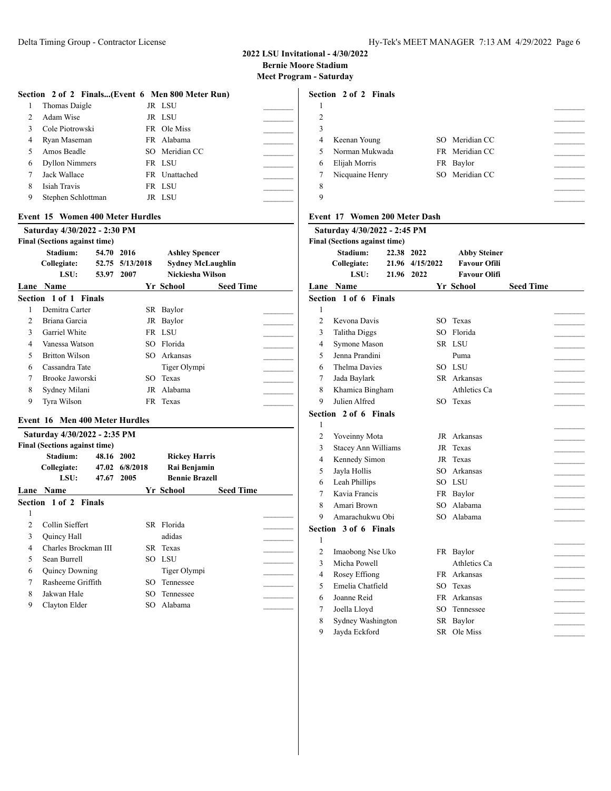## **2022 LSU Invitational - 4/30/2022 Bernie Moore Stadium** - Saturday

|  | leet Program - Saturdaj |  |  |  |
|--|-------------------------|--|--|--|
|--|-------------------------|--|--|--|

| Section 2 of 2 Finals(Event 6 Men 800 Meter Run) |                          |  |
|--------------------------------------------------|--------------------------|--|
| 1 Thomas Daigle                                  | JR LSU                   |  |
| 2 Adam Wise                                      | JR LSU                   |  |
| $2 \times 1.$ D. $\ldots$ 1.                     | $ED = \bigcap A$ . $M$ . |  |

|             | 3 Cole Piotrowski  | FR Ole Miss    |  |
|-------------|--------------------|----------------|--|
|             | 4 Ryan Maseman     | FR Alabama     |  |
|             | 5 Amos Beadle      | SO Meridian CC |  |
|             | 6 Dyllon Nimmers   | FR LSU         |  |
| $7^{\circ}$ | Jack Wallace       | FR Unattached  |  |
| 8           | Isiah Travis       | FR LSU         |  |
| 9           | Stephen Schlottman | JR LSU         |  |

#### **Event 15 Women 400 Meter Hurdles**

|                          | Saturday 4/30/2022 - 2:30 PM         |            |                 |                          |                  |  |
|--------------------------|--------------------------------------|------------|-----------------|--------------------------|------------------|--|
|                          | <b>Final (Sections against time)</b> |            |                 |                          |                  |  |
|                          | Stadium:                             | 54.70 2016 |                 | <b>Ashley Spencer</b>    |                  |  |
|                          | Collegiate:                          |            | 52.75 5/13/2018 | <b>Sydney McLaughlin</b> |                  |  |
|                          | LSU:                                 | 53.97      | 2007            | Nickiesha Wilson         |                  |  |
|                          | Lane Name                            |            |                 | Yr School                | <b>Seed Time</b> |  |
|                          | Section 1 of 1 Finals                |            |                 |                          |                  |  |
| 1                        | Demitra Carter                       |            | SR.             | Baylor                   |                  |  |
| $\mathfrak{D}$           | Briana Garcia                        |            | JR              | Baylor                   |                  |  |
| 3                        | Garriel White                        |            |                 | FR LSU                   |                  |  |
| 4                        | Vanessa Watson                       |            | SO.             | Florida                  |                  |  |
| $\overline{\phantom{0}}$ | <b>Britton Wilson</b>                |            | SO              | Arkansas                 |                  |  |
| 6                        | Cassandra Tate                       |            |                 | Tiger Olympi             |                  |  |
| 7                        | Brooke Jaworski                      |            | SO.             | Texas                    |                  |  |
| 8                        | Sydney Milani                        |            | JR              | Alabama                  |                  |  |
| 9                        | Tyra Wilson                          |            |                 | FR Texas                 |                  |  |
|                          | Event 16 Men 400 Meter Hurdles       |            |                 |                          |                  |  |
|                          | Saturday 4/30/2022 - 2:35 PM         |            |                 |                          |                  |  |
|                          | <b>Final (Sections against time)</b> |            |                 |                          |                  |  |
|                          | Stadium:                             | 48.16 2002 |                 | <b>Rickey Harris</b>     |                  |  |
|                          | Collegiate:                          |            | 47.02 6/8/2018  | Rai Benjamin             |                  |  |
|                          |                                      |            |                 |                          |                  |  |
|                          | LSU:                                 | 47.67      | 2005            | <b>Bennie Brazell</b>    |                  |  |
|                          | Lane Name                            |            |                 | Yr School                | <b>Seed Time</b> |  |
|                          | Section 1 of 2 Finals                |            |                 |                          |                  |  |
| 1                        |                                      |            |                 |                          |                  |  |
| 2                        | Collin Sieffert                      |            |                 | SR Florida               |                  |  |
| 3                        | <b>Ouincy Hall</b>                   |            |                 | adidas                   |                  |  |
| 4                        | Charles Brockman III                 |            |                 | SR Texas                 |                  |  |
| 5                        | Sean Burrell                         |            | SO.             | - LSU                    |                  |  |
| 6                        | Quincy Downing                       |            |                 | Tiger Olympi             |                  |  |
| 7                        | Rasheeme Griffith                    |            | SO              | Tennessee                |                  |  |

9 Clayton Elder SO Alabama

|                | Section 2 of 2 Finals |                |  |
|----------------|-----------------------|----------------|--|
|                |                       |                |  |
| $\mathfrak{D}$ |                       |                |  |
| 3              |                       |                |  |
| 4              | Keenan Young          | SO Meridian CC |  |
| 5              | Norman Mukwada        | FR Meridian CC |  |
| 6              | Elijah Morris         | FR Baylor      |  |
| 7              | Nicquaine Henry       | SO Meridian CC |  |
| 8              |                       |                |  |
| 9              |                       |                |  |
|                |                       |                |  |

# **Event 17 Women 200 Meter Dash**

|                | Saturday 4/30/2022 - 2:45 PM         |                 |     |                     |                  |  |
|----------------|--------------------------------------|-----------------|-----|---------------------|------------------|--|
|                | <b>Final (Sections against time)</b> |                 |     |                     |                  |  |
|                | Stadium:                             | 22.38 2022      |     | <b>Abby Steiner</b> |                  |  |
|                | Collegiate:                          | 21.96 4/15/2022 |     | <b>Favour Ofili</b> |                  |  |
|                | LSU:                                 | 21.96 2022      |     | <b>Favour Olifi</b> |                  |  |
|                | <b>Lane Name</b>                     |                 |     | Yr School           | <b>Seed Time</b> |  |
|                | Section 1 of 6 Finals                |                 |     |                     |                  |  |
| 1              |                                      |                 |     |                     |                  |  |
| $\overline{c}$ | Kevona Davis                         |                 |     | SO Texas            |                  |  |
| 3              | Talitha Diggs                        |                 | SO. | Florida             |                  |  |
| 4              | Symone Mason                         |                 |     | SR LSU              |                  |  |
| 5              | Jenna Prandini                       |                 |     | Puma                |                  |  |
| 6              | <b>Thelma Davies</b>                 |                 |     | SO LSU              |                  |  |
| 7              | Jada Baylark                         |                 |     | SR Arkansas         |                  |  |
| 8              | Khamica Bingham                      |                 |     | Athletics Ca        |                  |  |
| 9              | Julien Alfred                        |                 |     | SO Texas            |                  |  |
|                | Section 2 of 6 Finals                |                 |     |                     |                  |  |
| 1              |                                      |                 |     |                     |                  |  |
| $\overline{c}$ | Yoveinny Mota                        |                 | JR  | Arkansas            |                  |  |
| 3              | <b>Stacey Ann Williams</b>           |                 | JR  | Texas               |                  |  |
| 4              | Kennedy Simon                        |                 | JR  | Texas               |                  |  |
| 5              | Jayla Hollis                         |                 | SO  | Arkansas            |                  |  |
| 6              | Leah Phillips                        |                 | SO. | - LSU               |                  |  |
| 7              | Kavia Francis                        |                 |     | FR Baylor           |                  |  |
| 8              | Amari Brown                          |                 | SO. | Alabama             |                  |  |
| 9              | Amarachukwu Obi                      |                 |     | SO Alabama          |                  |  |
|                | Section 3 of 6 Finals                |                 |     |                     |                  |  |
| $\mathbf{1}$   |                                      |                 |     |                     |                  |  |
| 2              | Imaobong Nse Uko                     |                 |     | FR Baylor           |                  |  |
| 3              | Micha Powell                         |                 |     | Athletics Ca        |                  |  |
| 4              | Rosey Effiong                        |                 | FR  | Arkansas            |                  |  |
| 5              | Emelia Chatfield                     |                 | SO  | Texas               |                  |  |
| 6              | Joanne Reid                          |                 | FR  | Arkansas            |                  |  |
| 7              | Joella Lloyd                         |                 | SO  | Tennessee           |                  |  |
| 8              | Sydney Washington                    |                 | SR  | Baylor              |                  |  |
| 9              | Jayda Eckford                        |                 | SR  | Ole Miss            |                  |  |
|                |                                      |                 |     |                     |                  |  |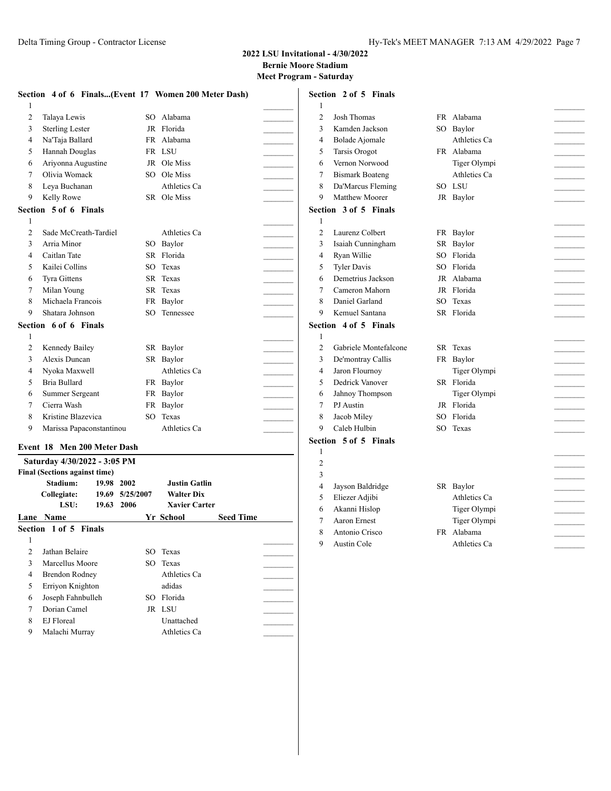## **2022 LSU Invitational - 4/30/2022 Bernie Moore Stadium Meet Program - Saturday**

|   | Section 4 of 6 Finals(Event 17 Women 200 Meter Dash) |                 |              |                | Section 2 of 5 Finals  |                    |
|---|------------------------------------------------------|-----------------|--------------|----------------|------------------------|--------------------|
|   |                                                      |                 |              |                |                        |                    |
| 2 | Talaya Lewis                                         |                 | SO Alabama   | 2              | <b>Josh Thomas</b>     | FR Alabama         |
| 3 | <b>Sterling Lester</b>                               |                 | JR Florida   | 3              | Kamden Jackson         | SO Baylor          |
| 4 | Na'Taja Ballard                                      |                 | FR Alabama   | 4              | <b>Bolade Ajomale</b>  | Athletics Ca       |
| 5 | Hannah Douglas                                       |                 | FR LSU       | 5              | <b>Tarsis Orogot</b>   | FR Alabama         |
| 6 | Ariyonna Augustine                                   |                 | JR Ole Miss  | 6              | Vernon Norwood         | Tiger Olympi       |
| 7 | Olivia Womack                                        |                 | SO Ole Miss  |                | <b>Bismark Boateng</b> | Athletics Ca       |
| 8 | Leya Buchanan                                        |                 | Athletics Ca | 8              | Da'Marcus Fleming      | SO LSU             |
| 9 | Kelly Rowe                                           |                 | SR Ole Miss  | 9              | Matthew Moorer         | JR Baylor          |
|   | Section 5 of 6 Finals                                |                 |              |                | Section 3 of 5 Finals  |                    |
|   |                                                      |                 |              |                |                        |                    |
| 2 | Sade McCreath-Tardiel                                |                 | Athletics Ca | $\overline{2}$ | Laurenz Colbert        | FR Baylor          |
| 3 | Arria Minor                                          |                 | SO Baylor    | 3              | Isaiah Cunningham      | SR Baylor          |
| 4 | Caitlan Tate                                         |                 | SR Florida   | 4              | Ryan Willie            | SO Florida         |
| 5 | Kailei Collins                                       |                 | SO Texas     | 5              | <b>Tyler Davis</b>     | SO Florida         |
| 6 | Tyra Gittens                                         |                 | SR Texas     | 6              | Demetrius Jackson      | JR Alabama         |
| 7 | Milan Young                                          |                 | SR Texas     | 7              | Cameron Mahorn         | JR Florida         |
| 8 | Michaela Francois                                    |                 | FR Baylor    | 8              | Daniel Garland         | SO Texas           |
| 9 | Shatara Johnson                                      |                 | SO Tennessee | 9              | Kemuel Santana         | SR Florida         |
|   | Section 6 of 6 Finals                                |                 |              |                | Section 4 of 5 Finals  |                    |
|   |                                                      |                 |              |                |                        |                    |
| 2 | Kennedy Bailey                                       |                 | SR Baylor    | $\overline{2}$ | Gabriele Montefalcone  | SR Texas<br>$\sim$ |
| 3 | Alexis Duncan                                        |                 | SR Baylor    | 3              | De'montray Callis      | FR Baylor          |
| 4 | Nyoka Maxwell                                        |                 | Athletics Ca | 4              | Jaron Flournoy         | Tiger Olympi       |
| 5 | Bria Bullard                                         |                 | FR Baylor    | 5              | Dedrick Vanover        | SR Florida         |
| 6 | Summer Sergeant                                      |                 | FR Baylor    | 6              | Jahnoy Thompson        | Tiger Olympi       |
| 7 | Cierra Wash                                          |                 | FR Baylor    |                | PJ Austin              | JR Florida         |
| 8 | Kristine Blazevica                                   | SO <sub>2</sub> | Texas        | 8              | Jacob Miley            | SO Florida         |
| 9 | Marissa Papaconstantinou                             |                 | Athletics Ca | 9              | Caleb Hulbin           | SO Texas           |
|   | Event 18 Men 200 Meter Dash                          |                 |              |                | Section 5 of 5 Finals  |                    |

# **Saturday 4/30/2022 - 3:05 PM Final (Sections against time) Stadium: 19.98 2002 Justin Gatlin 19.69 5/25/2007 LSU: 19.63 2006 Xavier Carter Lane Name Yr School Seed Time Section 1 of 5 Finals** 1  $\Box$ 2 Jathan Belaire SO Texas 3 Marcellus Moore SO Texas 4 Brendon Rodney Athletics Ca 5 Erriyon Knighton adidas \_\_\_\_\_\_\_\_\_ 6 Joseph Fahnbulleh SO Florida \_\_\_\_\_\_\_\_\_ 7 Dorian Camel JR LSU 8 EJ Floreal Unattached 9 Malachi Murray Athletics Ca

| <b>Josh Thomas</b>     |                     | FR Alabama   |                                                                                                           |
|------------------------|---------------------|--------------|-----------------------------------------------------------------------------------------------------------|
| Kamden Jackson         |                     | SO Baylor    |                                                                                                           |
| Bolade Ajomale         |                     | Athletics Ca |                                                                                                           |
| <b>Tarsis Orogot</b>   |                     |              |                                                                                                           |
| Vernon Norwood         |                     | Tiger Olympi |                                                                                                           |
| <b>Bismark Boateng</b> |                     | Athletics Ca |                                                                                                           |
| Da'Marcus Fleming      |                     |              |                                                                                                           |
| Matthew Moorer         |                     |              |                                                                                                           |
|                        |                     |              |                                                                                                           |
|                        |                     |              |                                                                                                           |
| Laurenz Colbert        | FR                  |              |                                                                                                           |
| Isaiah Cunningham      |                     | Baylor       |                                                                                                           |
| Ryan Willie            |                     |              |                                                                                                           |
| <b>Tyler Davis</b>     |                     |              |                                                                                                           |
| Demetrius Jackson      |                     |              |                                                                                                           |
| Cameron Mahorn         |                     |              |                                                                                                           |
| Daniel Garland         | SO.                 | Texas        |                                                                                                           |
| Kemuel Santana         | SR                  | Florida      |                                                                                                           |
| ction 4 of 5 Finals    |                     |              |                                                                                                           |
|                        |                     |              |                                                                                                           |
|                        |                     |              |                                                                                                           |
| Gabriele Montefalcone  | SR.                 | Texas        |                                                                                                           |
| De'montray Callis      | FR                  | Baylor       |                                                                                                           |
| Jaron Flournoy         |                     | Tiger Olympi |                                                                                                           |
| Dedrick Vanover        |                     | SR Florida   |                                                                                                           |
| Jahnoy Thompson        |                     | Tiger Olympi |                                                                                                           |
| PJ Austin              |                     | JR Florida   |                                                                                                           |
| Jacob Miley            |                     | SO Florida   |                                                                                                           |
| Caleb Hulbin           | SO.                 | Texas        |                                                                                                           |
| ction 5 of 5 Finals    |                     |              |                                                                                                           |
|                        |                     |              |                                                                                                           |
|                        |                     |              |                                                                                                           |
|                        |                     |              |                                                                                                           |
| Jayson Baldridge       |                     | SR Baylor    |                                                                                                           |
| Eliezer Adjibi         |                     | Athletics Ca |                                                                                                           |
| Akanni Hislop          |                     | Tiger Olympi |                                                                                                           |
| Aaron Ernest           |                     | Tiger Olympi |                                                                                                           |
| Antonio Crisco         |                     | FR Alabama   |                                                                                                           |
|                        | ction 3 of 5 Finals |              | FR Alabama<br>SO LSU<br>JR Baylor<br>Baylor<br>SR<br>SO Florida<br>SO Florida<br>JR Alabama<br>JR Florida |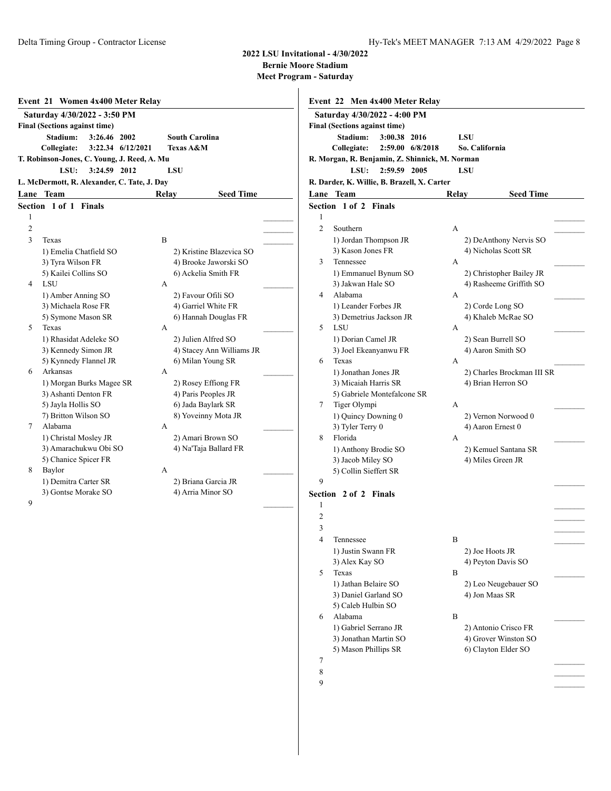**Bernie Moore Stadium**

|                | Saturday 4/30/2022 - 3:50 PM                |                       |                           |
|----------------|---------------------------------------------|-----------------------|---------------------------|
|                | <b>Final (Sections against time)</b>        |                       |                           |
|                | Stadium:<br>3:26.46 2002                    | <b>South Carolina</b> |                           |
|                | Collegiate:<br>3:22.34 6/12/2021            | Texas A&M             |                           |
|                | T. Robinson-Jones, C. Young, J. Reed, A. Mu |                       |                           |
|                | LSU:<br>3:24.59 2012                        | LSU                   |                           |
|                | L. McDermott, R. Alexander, C. Tate, J. Dav |                       |                           |
| Lane           | <b>Team</b>                                 | Relay                 | <b>Seed Time</b>          |
|                | Section 1 of 1<br><b>Finals</b>             |                       |                           |
| 1              |                                             |                       |                           |
| $\overline{2}$ |                                             |                       |                           |
| $\mathcal{L}$  | Texas                                       | B                     |                           |
|                | 1) Emelia Chatfield SO                      |                       | 2) Kristine Blazevica SO  |
|                | 3) Tyra Wilson FR                           |                       | 4) Brooke Jaworski SO     |
|                | 5) Kailei Collins SO                        |                       | 6) Ackelia Smith FR       |
| $\overline{4}$ | LSU                                         | A                     |                           |
|                | 1) Amber Anning SO                          |                       | 2) Favour Ofili SO        |
|                | 3) Michaela Rose FR                         |                       | 4) Garriel White FR       |
|                | 5) Symone Mason SR                          |                       | 6) Hannah Douglas FR      |
| 5              | Texas                                       | A                     |                           |
|                | 1) Rhasidat Adeleke SO                      |                       | 2) Julien Alfred SO       |
|                | 3) Kennedy Simon JR                         |                       | 4) Stacey Ann Williams JR |
|                | 5) Kynnedy Flannel JR                       |                       | 6) Milan Young SR         |
| 6              | Arkansas                                    | А                     |                           |
|                | 1) Morgan Burks Magee SR                    |                       | 2) Rosey Effiong FR       |
|                | 3) Ashanti Denton FR                        |                       | 4) Paris Peoples JR       |
|                | 5) Jayla Hollis SO                          |                       | 6) Jada Baylark SR        |
|                | 7) Britton Wilson SO                        |                       | 8) Yoveinny Mota JR       |
| 7              | Alabama                                     | A                     |                           |
|                | 1) Christal Mosley JR                       |                       | 2) Amari Brown SO         |
|                | 3) Amarachukwu Obi SO                       |                       | 4) Na'Taja Ballard FR     |
|                | 5) Chanice Spicer FR                        |                       |                           |
| 8              | Baylor                                      | A                     |                           |
|                | 1) Demitra Carter SR                        |                       | 2) Briana Garcia JR       |
|                | 3) Gontse Morake SO                         |                       | 4) Arria Minor SO         |
| 9              |                                             |                       |                           |

|                | Saturday 4/30/2022 - 4:00 PM                   |       |                                        |
|----------------|------------------------------------------------|-------|----------------------------------------|
|                | <b>Final (Sections against time)</b>           |       |                                        |
|                | Stadium:<br>3:00.38 2016                       |       | LSU                                    |
|                | Collegiate:<br>2:59.00 6/8/2018                |       | So. California                         |
|                | R. Morgan, R. Benjamin, Z. Shinnick, M. Norman |       |                                        |
|                | LSU:<br>2:59.59 2005                           |       | <b>LSU</b>                             |
|                | R. Darder, K. Willie, B. Brazell, X. Carter    |       |                                        |
|                | Lane Team                                      | Relay | Seed Time                              |
|                | Section 1 of 2 Finals                          |       |                                        |
| 1              |                                                |       |                                        |
| $\overline{c}$ | Southern                                       | А     |                                        |
|                | 1) Jordan Thompson JR                          |       | 2) DeAnthony Nervis SO                 |
|                | 3) Kason Jones FR                              |       | 4) Nicholas Scott SR                   |
| 3              | Tennessee                                      | А     |                                        |
|                | 1) Emmanuel Bynum SO                           |       | 2) Christopher Bailey JR               |
|                | 3) Jakwan Hale SO                              |       | 4) Rasheeme Griffith SO                |
| 4              | Alabama                                        | А     |                                        |
|                | 1) Leander Forbes JR                           |       | 2) Corde Long SO<br>4) Khaleb McRae SO |
| 5              | 3) Demetrius Jackson JR<br>LSU                 | A     |                                        |
|                | 1) Dorian Camel JR                             |       | 2) Sean Burrell SO                     |
|                | 3) Joel Ekeanyanwu FR                          |       | 4) Aaron Smith SO                      |
| 6              | Texas                                          | А     |                                        |
|                | 1) Jonathan Jones JR                           |       | 2) Charles Brockman III SR             |
|                | 3) Micaiah Harris SR                           |       | 4) Brian Herron SO                     |
|                | 5) Gabriele Montefalcone SR                    |       |                                        |
| 7              | Tiger Olympi                                   | А     |                                        |
|                | 1) Quincy Downing 0                            |       | 2) Vernon Norwood 0                    |
|                | 3) Tyler Terry 0                               |       | 4) Aaron Ernest 0                      |
| 8              | Florida                                        | A     |                                        |
|                | 1) Anthony Brodie SO                           |       | 2) Kemuel Santana SR                   |
|                | 3) Jacob Miley SO                              |       | 4) Miles Green JR                      |
|                | 5) Collin Sieffert SR                          |       |                                        |
| 9              |                                                |       |                                        |
|                | Section 2 of 2 Finals                          |       |                                        |
| 1              |                                                |       |                                        |
| $\overline{2}$ |                                                |       |                                        |
| 3              |                                                |       |                                        |
| 4              | Tennessee                                      | B     |                                        |
|                | 1) Justin Swann FR                             |       | 2) Joe Hoots JR                        |
|                | 3) Alex Kay SO                                 |       | 4) Peyton Davis SO                     |
| 5              | Texas                                          | B     |                                        |
|                | 1) Jathan Belaire SO                           |       | 2) Leo Neugebauer SO                   |
|                | 3) Daniel Garland SO                           |       | 4) Jon Maas SR                         |
|                | 5) Caleb Hulbin SO                             |       |                                        |
| 6              | Alabama                                        | B     |                                        |
|                | 1) Gabriel Serrano JR                          |       | 2) Antonio Crisco FR                   |
|                | 3) Jonathan Martin SO                          |       | 4) Grover Winston SO                   |
|                | 5) Mason Phillips SR                           |       | 6) Clayton Elder SO                    |
| 7              |                                                |       |                                        |
| 8              |                                                |       |                                        |
| 9              |                                                |       |                                        |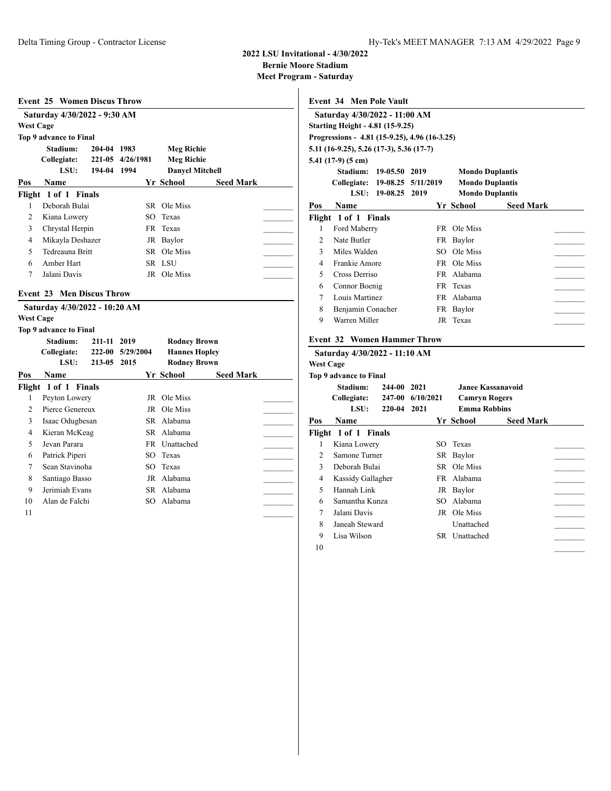**Bernie Moore Stadium**

**Meet Program - Saturday**

|                  | <b>Event 25 Women Discus Throw</b> |                         |           |                        |                  |  |
|------------------|------------------------------------|-------------------------|-----------|------------------------|------------------|--|
|                  | Saturday 4/30/2022 - 9:30 AM       |                         |           |                        |                  |  |
| <b>West Cage</b> |                                    |                         |           |                        |                  |  |
|                  | Top 9 advance to Final             |                         |           |                        |                  |  |
|                  | Stadium:                           | 204-04 1983             |           | <b>Meg Richie</b>      |                  |  |
|                  | Collegiate:                        | 221-05                  | 4/26/1981 | <b>Meg Richie</b>      |                  |  |
|                  | LSU:                               | 194-04                  | 1994      | <b>Danyel Mitchell</b> |                  |  |
| Pos              | <b>Name</b>                        |                         |           | Yr School              | <b>Seed Mark</b> |  |
|                  | Flight 1 of 1 Finals               |                         |           |                        |                  |  |
| 1                | Deborah Bulai                      |                         |           | SR Ole Miss            |                  |  |
| $\overline{c}$   | Kiana Lowery                       |                         | SO        | Texas                  |                  |  |
| 3                | Chrystal Herpin                    |                         |           | FR Texas               |                  |  |
| 4                | Mikayla Deshazer                   |                         |           | JR Baylor              |                  |  |
| 5                | Tedreauna Britt                    |                         |           | SR Ole Miss            |                  |  |
| 6                | Amber Hart                         |                         |           | SR LSU                 |                  |  |
| $\tau$           | Jalani Davis                       |                         |           | JR Ole Miss            |                  |  |
| Event 23         |                                    | <b>Men Discus Throw</b> |           |                        |                  |  |
|                  |                                    |                         |           |                        |                  |  |
|                  | Saturday 4/30/2022 - 10:20 AM      |                         |           |                        |                  |  |
| <b>West Cage</b> |                                    |                         |           |                        |                  |  |
|                  |                                    |                         |           |                        |                  |  |
|                  | <b>Top 9 advance to Final</b>      |                         |           |                        |                  |  |
|                  | Stadium:                           | 211-11 2019             |           | <b>Rodney Brown</b>    |                  |  |
|                  | Collegiate:                        | 222-00                  | 5/29/2004 | <b>Hannes Hopley</b>   |                  |  |
|                  | LSU:                               | 213-05                  | 2015      | <b>Rodney Brown</b>    |                  |  |
| Pos              | <b>Name</b>                        |                         |           | Yr School              | <b>Seed Mark</b> |  |
|                  | Flight 1 of 1 Finals               |                         |           |                        |                  |  |
| 1                | Peyton Lowery                      |                         | JR        | Ole Miss               |                  |  |
| $\overline{c}$   | Pierce Genereux                    |                         |           | <b>JR</b> Ole Miss     |                  |  |
| 3                | Isaac Odugbesan                    |                         |           | SR Alabama             |                  |  |
| $\overline{4}$   | Kieran McKeag                      |                         |           | SR Alabama             |                  |  |
| 5                | Jevan Parara                       |                         |           | FR Unattached          |                  |  |
| 6                | Patrick Piperi                     |                         |           | SO Texas               |                  |  |
| 7                | Sean Stavinoha                     |                         |           | SO Texas               |                  |  |
| 8                | Santiago Basso                     |                         |           | JR Alabama             |                  |  |
| 9                | Jerimiah Evans                     |                         |           | SR Alabama             |                  |  |
| 10               | Alan de Falchi                     |                         | SO.       | Alabama                |                  |  |
| 11               |                                    |                         |           |                        |                  |  |

**Event 34 Men Pole Vault Saturday 4/30/2022 - 11:00 AM Starting Height - 4.81 (15-9.25) Progressions - 4.81 (15-9.25), 4.96 (16-3.25) 5.11 (16-9.25), 5.26 (17-3), 5.36 (17-7) 5.41 (17-9) (5 cm) Stadium: 19-05.50 2019 Mondo Duplantis Collegiate: 19-08.25 5/11/2019 Mondo Duplantis LSU: 19-08.25 2019 Mondo Duplantis Pos Name Yr School Seed Mark Flight 1 of 1 Finals** 1 Ford Maberry FR Ole Miss 2 Nate Butler FR Baylor 3 Miles Walden SO Ole Miss 4 Frankie Amore FR Ole Miss 5 Cross Derriso FR Alabama 6 Connor Boenig FR Texas \_\_\_\_\_\_\_\_\_ 7 Louis Martinez FR Alabama 8 Benjamin Conacher FR Baylor 9 Warren Miller JR Texas **Event 32 Women Hammer Throw Saturday 4/30/2022 - 11:10 AM West Cage**

|                | Top 9 advance to Final                              |                                  |                                                                  |                  |  |
|----------------|-----------------------------------------------------|----------------------------------|------------------------------------------------------------------|------------------|--|
|                | Stadium:<br>244-00<br>Collegiate:<br>LSU:<br>220-04 | 2021<br>247-00 6/10/2021<br>2021 | Janee Kassanavoid<br><b>Camryn Rogers</b><br><b>Emma Robbins</b> |                  |  |
| Pos            | Name                                                |                                  | Yr School                                                        | <b>Seed Mark</b> |  |
|                | Flight 1 of 1 Finals                                |                                  |                                                                  |                  |  |
| 1              | Kiana Lowery                                        |                                  | SO Texas                                                         |                  |  |
| $\mathfrak{D}$ | Samone Turner                                       |                                  | SR Baylor                                                        |                  |  |
| 3              | Deborah Bulai                                       |                                  | SR Ole Miss                                                      |                  |  |
| 4              | Kassidy Gallagher                                   |                                  | FR Alabama                                                       |                  |  |
| 5              | Hannah Link                                         |                                  | JR Baylor                                                        |                  |  |
| 6              | Samantha Kunza                                      |                                  | SO Alabama                                                       |                  |  |
| 7              | Jalani Davis                                        |                                  | JR Ole Miss                                                      |                  |  |
| 8              | Janeah Steward                                      |                                  | Unattached                                                       |                  |  |
| 9              | Lisa Wilson                                         | SR.                              | Unattached                                                       |                  |  |
| 10             |                                                     |                                  |                                                                  |                  |  |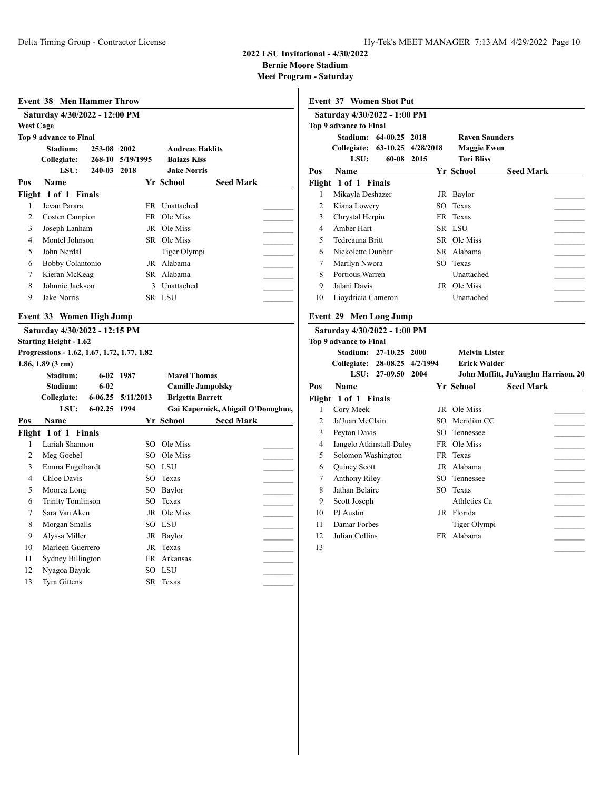**Bernie Moore Stadium**

**Meet Program - Saturday**  $\overline{1}$ 

|                         | <b>Event 38 Men Hammer Throw</b>                                                                                                     |             |           |    |                          |                                    |  |
|-------------------------|--------------------------------------------------------------------------------------------------------------------------------------|-------------|-----------|----|--------------------------|------------------------------------|--|
|                         | Saturday 4/30/2022 - 12:00 PM                                                                                                        |             |           |    |                          |                                    |  |
| <b>West Cage</b>        |                                                                                                                                      |             |           |    |                          |                                    |  |
|                         | Top 9 advance to Final                                                                                                               |             |           |    |                          |                                    |  |
|                         | Stadium:                                                                                                                             | 253-08 2002 |           |    | <b>Andreas Haklits</b>   |                                    |  |
|                         | Collegiate:                                                                                                                          | 268-10      | 5/19/1995 |    | <b>Balazs Kiss</b>       |                                    |  |
|                         | LSU:                                                                                                                                 | 240-03      | 2018      |    | <b>Jake Norris</b>       |                                    |  |
| Pos                     | Name                                                                                                                                 |             |           |    | Yr School                | <b>Seed Mark</b>                   |  |
|                         | Flight 1 of 1 Finals                                                                                                                 |             |           |    |                          |                                    |  |
| 1                       | Jevan Parara                                                                                                                         |             |           |    | FR Unattached            |                                    |  |
| $\overline{c}$          | Costen Campion                                                                                                                       |             |           |    | FR Ole Miss              |                                    |  |
| 3                       | Joseph Lanham                                                                                                                        |             |           |    | JR Ole Miss              |                                    |  |
| $\overline{\mathbf{4}}$ | Montel Johnson                                                                                                                       |             |           |    | SR Ole Miss              |                                    |  |
| 5                       | John Nerdal                                                                                                                          |             |           |    | Tiger Olympi             |                                    |  |
| 6                       | Bobby Colantonio                                                                                                                     |             |           |    | JR Alabama               |                                    |  |
| 7                       | Kieran McKeag                                                                                                                        |             |           |    | SR Alabama               |                                    |  |
| 8                       | Johnnie Jackson                                                                                                                      |             |           |    | 3 Unattached             |                                    |  |
| 9                       | Jake Norris                                                                                                                          |             |           |    | SR LSU                   |                                    |  |
|                         | Saturday 4/30/2022 - 12:15 PM<br><b>Starting Height - 1.62</b><br>Progressions - 1.62, 1.67, 1.72, 1.77, 1.82<br>$1.86, 1.89$ (3 cm) |             |           |    |                          |                                    |  |
|                         | Stadium:                                                                                                                             |             | 6-02 1987 |    | <b>Mazel Thomas</b>      |                                    |  |
|                         | Stadium:                                                                                                                             | $6 - 02$    |           |    | <b>Camille Jampolsky</b> |                                    |  |
|                         | Collegiate:                                                                                                                          | $6 - 06.25$ | 5/11/2013 |    | <b>Brigetta Barrett</b>  |                                    |  |
|                         | LSU:                                                                                                                                 | $6 - 02.25$ | 1994      |    |                          | Gai Kapernick, Abigail O'Donoghue, |  |
| Pos                     | Name                                                                                                                                 |             |           |    | Yr School                | <b>Seed Mark</b>                   |  |
|                         | Flight 1 of 1 Finals                                                                                                                 |             |           |    |                          |                                    |  |
| 1                       | Lariah Shannon                                                                                                                       |             |           |    | SO Ole Miss              |                                    |  |
| $\overline{c}$          | Meg Goebel                                                                                                                           |             |           |    | SO Ole Miss              |                                    |  |
| 3                       | Emma Engelhardt                                                                                                                      |             |           |    | SO LSU                   |                                    |  |
| 4                       | Chloe Davis                                                                                                                          |             |           |    | SO Texas                 |                                    |  |
| 5                       | Moorea Long                                                                                                                          |             |           |    | SO Baylor                |                                    |  |
| 6                       | <b>Trinity Tomlinson</b>                                                                                                             |             |           |    | SO Texas                 |                                    |  |
| 7                       | Sara Van Aken                                                                                                                        |             |           |    | JR Ole Miss              |                                    |  |
| 8                       | Morgan Smalls                                                                                                                        |             |           |    | SO LSU                   |                                    |  |
| 9                       | Alyssa Miller                                                                                                                        |             |           |    | JR Baylor                |                                    |  |
| 10                      | Marleen Guerrero                                                                                                                     |             |           |    | JR Texas                 |                                    |  |
| 11                      | Sydney Billington                                                                                                                    |             |           |    | FR Arkansas              |                                    |  |
| 12                      | Nyagoa Bayak                                                                                                                         |             |           |    | SO LSU                   |                                    |  |
| 13                      | <b>Tyra Gittens</b>                                                                                                                  |             |           | SR | Texas                    |                                    |  |

|     | <b>Event 37 Women Shot Put</b>                                               |      |                                                                  |                  |  |
|-----|------------------------------------------------------------------------------|------|------------------------------------------------------------------|------------------|--|
|     | Saturday 4/30/2022 - 1:00 PM                                                 |      |                                                                  |                  |  |
|     | Top 9 advance to Final                                                       |      |                                                                  |                  |  |
|     | 64-00.25 2018<br>Stadium:<br>Collegiate: 63-10.25 4/28/2018<br>LSU:<br>60-08 | 2015 | <b>Raven Saunders</b><br><b>Maggie Ewen</b><br><b>Tori Bliss</b> |                  |  |
| Pos | Name                                                                         |      | Yr School                                                        | <b>Seed Mark</b> |  |
|     | Flight 1 of 1 Finals                                                         |      |                                                                  |                  |  |
| 1   | Mikayla Deshazer                                                             |      | JR Baylor                                                        |                  |  |
| 2   | Kiana Lowery                                                                 | SO.  | Texas                                                            |                  |  |
| 3   | Chrystal Herpin                                                              |      | FR Texas                                                         |                  |  |
| 4   | Amber Hart                                                                   |      | SR LSU                                                           |                  |  |
| 5   | Tedreauna Britt                                                              |      | SR Ole Miss                                                      |                  |  |
| 6   | Nickolette Dunbar                                                            |      | SR Alabama                                                       |                  |  |
| 7   | Marilyn Nwora                                                                |      | SO Texas                                                         |                  |  |
| 8   | Portious Warren                                                              |      | Unattached                                                       |                  |  |
| 9   | Jalani Davis                                                                 | JR   | Ole Miss                                                         |                  |  |
| 10  | Lioydricia Cameron                                                           |      | Unattached                                                       |                  |  |
|     | Event 29 Men Long Jump                                                       |      |                                                                  |                  |  |

# **Saturday 4/30/2022 - 1:00 PM Top 9 advance to Final Stadium: 27-10.25 2000 Melvin Lister Collegiate: 28-08.25 4/2/1994 Erick Walder LSU: 27-09.50 2004 John Moffitt, JuVaughn Harrison, 20 Pos Name Yr School Seed Mark Flight 1 of 1 Finals** 1 Cory Meek JR Ole Miss 2 Ja'Juan McClain SO Meridian CC 3 Peyton Davis SO Tennessee 4 Iangelo Atkinstall-Daley FR Ole Miss 5 Solomon Washington FR Texas 6 Quincy Scott JR Alabama \_\_\_\_\_\_\_\_\_ 7 Anthony Riley SO Tennessee \_\_\_\_\_\_\_\_\_ 8 Jathan Belaire SO Texas 9 Scott Joseph Athletics Ca \_\_\_\_\_\_\_\_\_ 10 PJ Austin JR Florida \_\_\_\_\_\_\_\_\_ 11 Damar Forbes Tiger Olympi 12 Julian Collins FR Alabama 13 \_\_\_\_\_\_\_\_\_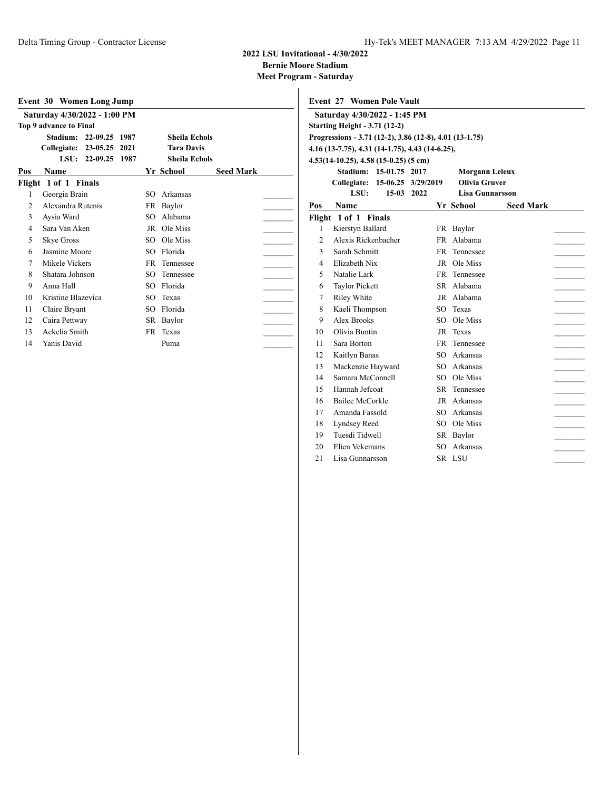**Bernie Moore Stadium**

|                          | Event 30 Women Long Jump        |                               |  |
|--------------------------|---------------------------------|-------------------------------|--|
|                          | Saturday 4/30/2022 - 1:00 PM    |                               |  |
|                          | Top 9 advance to Final          |                               |  |
|                          | Stadium:<br>22-09.25<br>1987    | Sheila Echols                 |  |
|                          | Collegiate:<br>23-05.25<br>2021 | <b>Tara Davis</b>             |  |
|                          | 22-09.25<br>LSU:<br>1987        | <b>Sheila Echols</b>          |  |
| Pos                      | Name                            | Yr School<br><b>Seed Mark</b> |  |
|                          | Flight 1 of 1 Finals            |                               |  |
| 1                        | Georgia Brain                   | Arkansas<br>SO.               |  |
| $\mathfrak{D}$           | Alexandra Rutenis               | Baylor<br>FR.                 |  |
| 3                        | Aysia Ward                      | Alabama<br>SO.                |  |
| $\overline{\mathcal{A}}$ | Sara Van Aken                   | Ole Miss<br>JR                |  |
| 5                        | <b>Skye Gross</b>               | Ole Miss<br>SO.               |  |
| 6                        | Jasmine Moore                   | Florida<br>SO.                |  |
| 7                        | Mikele Vickers                  | FR<br>Tennessee               |  |
| 8                        | Shatara Johnson                 | SO.<br>Tennessee              |  |
| 9                        | Anna Hall                       | Florida<br>SO.                |  |
| 10                       | Kristine Blazevica              | Texas<br>SO.                  |  |
| 11                       | Claire Bryant                   | Florida<br>SO.                |  |
| 12                       | Caira Pettway                   | SR.<br>Baylor                 |  |
| 13                       | Ackelia Smith                   | FR<br>Texas                   |  |
| 14                       | Yanis David                     | Puma                          |  |

|                | <b>Event 27 Women Pole Vault</b>                        |         |                    |                        |                  |  |
|----------------|---------------------------------------------------------|---------|--------------------|------------------------|------------------|--|
|                | Saturday 4/30/2022 - 1:45 PM                            |         |                    |                        |                  |  |
|                | <b>Starting Height - 3.71 (12-2)</b>                    |         |                    |                        |                  |  |
|                | Progressions - 3.71 (12-2), 3.86 (12-8), 4.01 (13-1.75) |         |                    |                        |                  |  |
|                | 4.16 (13-7.75), 4.31 (14-1.75), 4.43 (14-6.25),         |         |                    |                        |                  |  |
|                | 4.53(14-10.25), 4.58 (15-0.25) (5 cm)                   |         |                    |                        |                  |  |
|                | Stadium: 15-01.75 2017                                  |         |                    | <b>Morgann Leleux</b>  |                  |  |
|                | Collegiate:                                             |         | 15-06.25 3/29/2019 | Olivia Gruver          |                  |  |
|                | LSU:                                                    | $15-03$ | 2022               | <b>Lisa Gunnarsson</b> |                  |  |
| Pos            | <b>Name</b>                                             |         |                    | Yr School              | <b>Seed Mark</b> |  |
|                | Flight 1 of 1 Finals                                    |         |                    |                        |                  |  |
| 1              | Kierstyn Ballard                                        |         | FR                 | Baylor                 |                  |  |
| $\overline{2}$ | Alexis Rickenbacher                                     |         | FR.                | Alabama                |                  |  |
| 3              | Sarah Schmitt                                           |         | FR                 | Tennessee              |                  |  |
| 4              | Elizabeth Nix                                           |         | JR                 | Ole Miss               |                  |  |
| 5              | Natalie Lark                                            |         | FR                 | Tennessee              |                  |  |
| 6              | <b>Taylor Pickett</b>                                   |         | SR.                | Alabama                |                  |  |
| 7              | Riley White                                             |         |                    | JR Alabama             |                  |  |
| 8              | Kaeli Thompson                                          |         | SO                 | Texas                  |                  |  |
| 9              | Alex Brooks                                             |         | SO                 | Ole Miss               |                  |  |
| 10             | Olivia Buntin                                           |         | JR                 | Texas                  |                  |  |
| 11             | Sara Borton                                             |         | <b>FR</b>          | Tennessee              |                  |  |
| 12             | Kaitlyn Banas                                           |         | SO.                | Arkansas               |                  |  |
| 13             | Mackenzie Hayward                                       |         | SO.                | Arkansas               |                  |  |
| 14             | Samara McConnell                                        |         |                    | SO Ole Miss            |                  |  |
| 15             | Hannah Jefcoat                                          |         | SR                 | Tennessee              |                  |  |
| 16             | Bailee McCorkle                                         |         |                    | JR Arkansas            |                  |  |
| 17             | Amanda Fassold                                          |         | SO.                | Arkansas               |                  |  |
| 18             | Lyndsey Reed                                            |         | SO.                | Ole Miss               |                  |  |
| 19             | Tuesdi Tidwell                                          |         |                    | SR Baylor              |                  |  |
| 20             | Elien Vekemans                                          |         | SO.                | Arkansas               |                  |  |
| 21             | Lisa Gunnarsson                                         |         | <b>SR</b>          | <b>LSU</b>             |                  |  |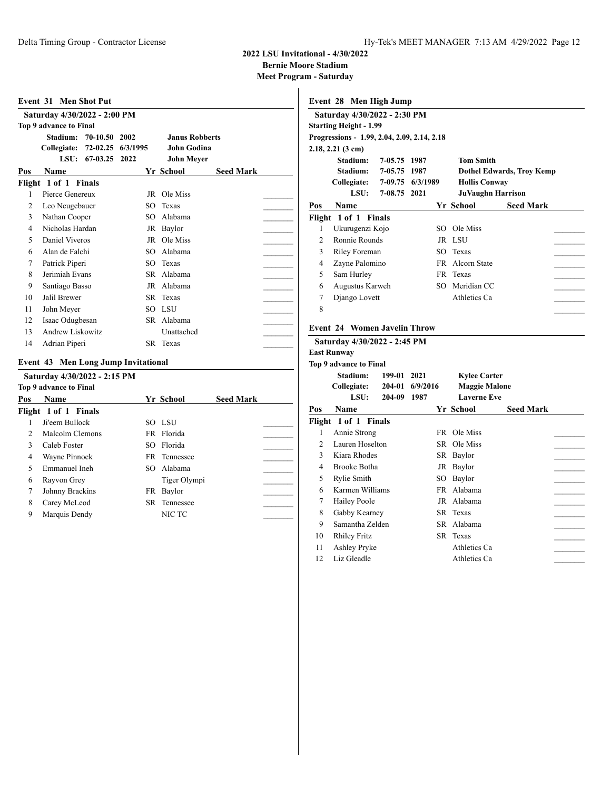**Bernie Moore Stadium**

| Event 31       | <b>Men Shot Put</b>                        |          |                       |                  |  |
|----------------|--------------------------------------------|----------|-----------------------|------------------|--|
|                | Saturday 4/30/2022 - 2:00 PM               |          |                       |                  |  |
|                | <b>Top 9 advance to Final</b>              |          |                       |                  |  |
|                | Stadium:<br>70-10.50                       | 2002     | <b>Janus Robberts</b> |                  |  |
|                | 72-02.25<br>Collegiate:                    | 6/3/1995 | <b>John Godina</b>    |                  |  |
|                | LSU:<br>67-03.25                           | 2022     | John Meyer            |                  |  |
| Pos            | Name                                       |          | Yr School             | <b>Seed Mark</b> |  |
|                | Flight 1 of 1<br><b>Finals</b>             |          |                       |                  |  |
| 1              | Pierce Genereux                            | JR       | Ole Miss              |                  |  |
| $\overline{c}$ | Leo Neugebauer                             | SO       | Texas                 |                  |  |
| 3              | Nathan Cooper                              | SO       | Alabama               |                  |  |
| 4              | Nicholas Hardan                            | JR       | Baylor                |                  |  |
| 5              | Daniel Viveros                             | JR       | Ole Miss              |                  |  |
| 6              | Alan de Falchi                             | SO       | Alabama               |                  |  |
| 7              | Patrick Piperi                             | SO.      | Texas                 |                  |  |
| 8              | Jerimiah Evans                             | SR       | Alabama               |                  |  |
| 9              | Santiago Basso                             | JR       | Alabama               |                  |  |
| 10             | Jalil Brewer                               | SR       | Texas                 |                  |  |
| 11             | John Meyer                                 | SO       | <b>LSU</b>            |                  |  |
| 12             | Isaac Odugbesan                            |          | SR Alabama            |                  |  |
| 13             | Andrew Liskowitz                           |          | Unattached            |                  |  |
| 14             | Adrian Piperi                              |          | SR Texas              |                  |  |
|                | <b>Event 43 Men Long Jump Invitational</b> |          |                       |                  |  |
|                | Saturday 4/30/2022 - 2:15 PM               |          |                       |                  |  |
|                | <b>Top 9 advance to Final</b>              |          |                       |                  |  |
| Pos            | Name                                       |          | Yr School             | <b>Seed Mark</b> |  |
|                | Flight 1 of 1 Finals                       |          |                       |                  |  |
| 1              | Ji'eem Bullock                             | SO.      | - LSU                 |                  |  |
| $\overline{c}$ | Malcolm Clemons                            | FR.      | Florida               |                  |  |
| 3              | Caleb Foster                               | SO       | Florida               |                  |  |
| 4              | Wayne Pinnock                              | FR.      | Tennessee             |                  |  |
| 5              | Emmanuel Ineh                              | SO.      | Alabama               |                  |  |
| 6              | Rayvon Grey                                |          | Tiger Olympi          |                  |  |
| 7              | Johnny Brackins                            | FR       | Baylor                |                  |  |
| 8              | Carey McLeod                               | SR       | Tennessee             |                  |  |
| 9              | Marquis Dendy                              |          | NIC TC                |                  |  |

|                | Event 28 Men High Jump                                                       |              |          |    |                          |                                  |  |
|----------------|------------------------------------------------------------------------------|--------------|----------|----|--------------------------|----------------------------------|--|
|                | Saturday 4/30/2022 - 2:30 PM                                                 |              |          |    |                          |                                  |  |
|                | <b>Starting Height - 1.99</b>                                                |              |          |    |                          |                                  |  |
|                | Progressions - 1.99, 2.04, 2.09, 2.14, 2.18                                  |              |          |    |                          |                                  |  |
|                | $2.18, 2.21$ (3 cm)                                                          |              |          |    |                          |                                  |  |
|                | Stadium:                                                                     | 7-05.75      | 1987     |    | <b>Tom Smith</b>         |                                  |  |
|                | Stadium:                                                                     | 7-05.75      | 1987     |    |                          | <b>Dothel Edwards, Troy Kemp</b> |  |
|                | Collegiate:                                                                  | 7-09.75      | 6/3/1989 |    | <b>Hollis Conway</b>     |                                  |  |
|                | LSU:                                                                         | 7-08.75 2021 |          |    | <b>JuVaughn Harrison</b> |                                  |  |
| Pos            | <b>Name</b>                                                                  |              |          |    | Yr School                | <b>Seed Mark</b>                 |  |
|                | Flight 1 of 1 Finals                                                         |              |          |    |                          |                                  |  |
| 1              | Ukurugenzi Kojo                                                              |              |          |    | SO Ole Miss              |                                  |  |
| $\overline{c}$ | Ronnie Rounds                                                                |              |          |    | JR LSU                   |                                  |  |
| 3              | <b>Riley Foreman</b>                                                         |              |          |    | SO Texas                 |                                  |  |
| 4              | Zayne Palomino                                                               |              |          |    | FR Alcorn State          |                                  |  |
| 5              | Sam Hurley                                                                   |              |          |    | FR Texas                 |                                  |  |
| 6              | Augustus Karweh                                                              |              |          |    | SO Meridian CC           |                                  |  |
| 7              | Django Lovett                                                                |              |          |    | Athletics Ca             |                                  |  |
| 8              |                                                                              |              |          |    |                          |                                  |  |
|                | Saturday 4/30/2022 - 2:45 PM<br><b>East Runway</b><br>Top 9 advance to Final |              |          |    |                          |                                  |  |
|                | Stadium:                                                                     | 199-01       | 2021     |    | <b>Kylee Carter</b>      |                                  |  |
|                | Collegiate:                                                                  | 204-01       | 6/9/2016 |    | <b>Maggie Malone</b>     |                                  |  |
|                | LSU:                                                                         | 204-09       | 1987     |    | <b>Laverne Eve</b>       |                                  |  |
| Pos            | Name                                                                         |              |          |    | Yr School                | <b>Seed Mark</b>                 |  |
|                | Flight 1 of 1 Finals                                                         |              |          |    |                          |                                  |  |
| 1              | Annie Strong                                                                 |              |          |    | FR Ole Miss              |                                  |  |
| 2              | Lauren Hoselton                                                              |              |          |    | SR Ole Miss              |                                  |  |
| 3              | Kiara Rhodes                                                                 |              |          |    | SR Baylor                |                                  |  |
| 4              | Brooke Botha                                                                 |              |          |    | JR Baylor                |                                  |  |
| 5              | Rylie Smith                                                                  |              |          |    | SO Baylor                |                                  |  |
| 6              | Karmen Williams                                                              |              |          |    | FR Alabama               |                                  |  |
| 7              | Hailey Poole                                                                 |              |          |    | JR Alabama               |                                  |  |
| 8              | Gabby Kearney                                                                |              |          |    | SR Texas                 |                                  |  |
| 9              | Samantha Zelden                                                              |              |          |    | SR Alabama               |                                  |  |
| 10             | <b>Rhiley Fritz</b>                                                          |              |          | SR | Texas                    |                                  |  |
| 11             | Ashley Pryke                                                                 |              |          |    | Athletics Ca             |                                  |  |
| 12             | Liz Gleadle                                                                  |              |          |    | Athletics Ca             |                                  |  |